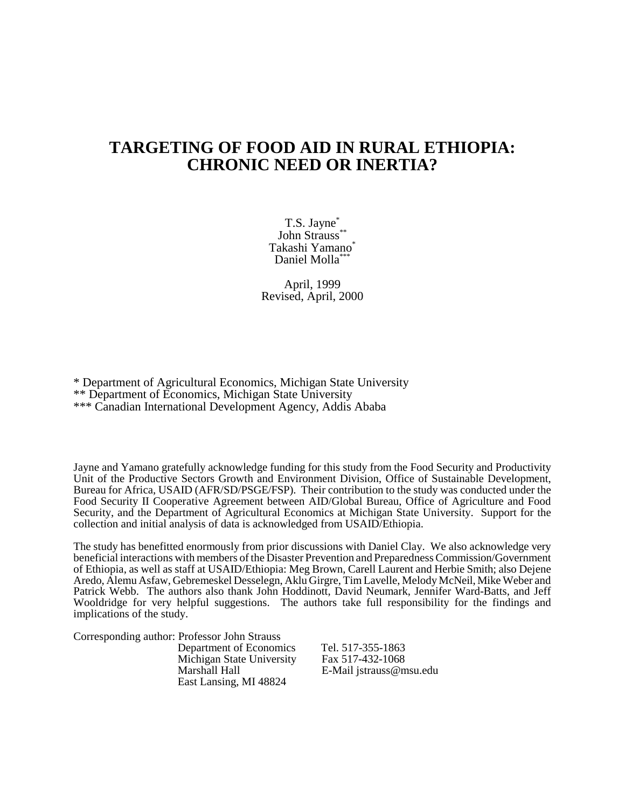# **TARGETING OF FOOD AID IN RURAL ETHIOPIA: CHRONIC NEED OR INERTIA?**

T.S. Jayne\* John Strauss\*\* Takashi Yamano\* Daniel Molla<sup>\*</sup>

April, 1999 Revised, April, 2000

\* Department of Agricultural Economics, Michigan State University \*\* Department of Economics, Michigan State University \*\*\* Canadian International Development Agency, Addis Ababa

Jayne and Yamano gratefully acknowledge funding for this study from the Food Security and Productivity Unit of the Productive Sectors Growth and Environment Division, Office of Sustainable Development, Bureau for Africa, USAID (AFR/SD/PSGE/FSP). Their contribution to the study was conducted under the Food Security II Cooperative Agreement between AID/Global Bureau, Office of Agriculture and Food Security, and the Department of Agricultural Economics at Michigan State University. Support for the collection and initial analysis of data is acknowledged from USAID/Ethiopia.

The study has benefitted enormously from prior discussions with Daniel Clay. We also acknowledge very beneficial interactions with members of the Disaster Prevention and Preparedness Commission/Government of Ethiopia, as well as staff at USAID/Ethiopia: Meg Brown, Carell Laurent and Herbie Smith; also Dejene Aredo, Alemu Asfaw, Gebremeskel Desselegn, Aklu Girgre, Tim Lavelle, Melody McNeil, Mike Weber and Patrick Webb. The authors also thank John Hoddinott, David Neumark, Jennifer Ward-Batts, and Jeff Wooldridge for very helpful suggestions. The authors take full responsibility for the findings and implications of the study.

Corresponding author: Professor John Strauss Department of Economics<br>
Michigan State University<br>
Fax 517-432-1068 Michigan State University Marshall Hall E-Mail jstrauss@msu.edu East Lansing, MI 48824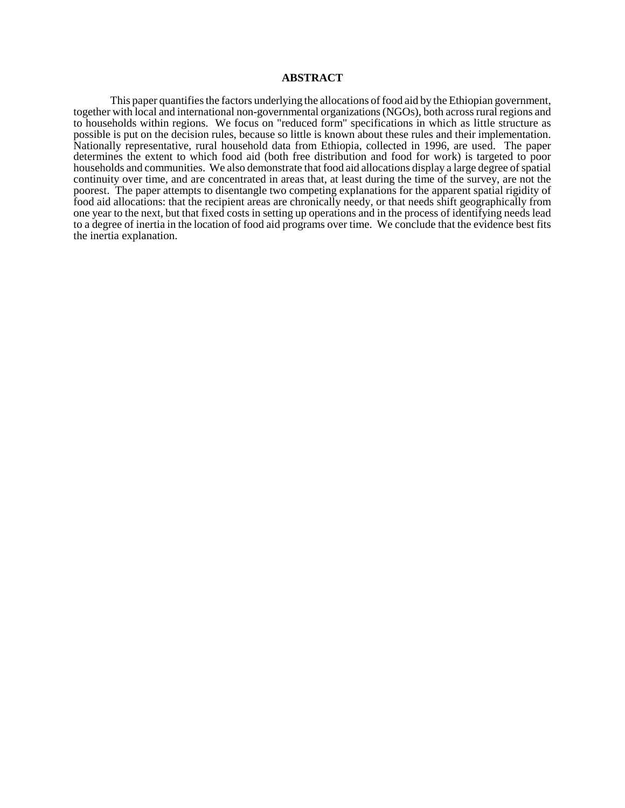## **ABSTRACT**

This paper quantifies the factors underlying the allocations of food aid by the Ethiopian government, together with local and international non-governmental organizations (NGOs), both across rural regions and to households within regions. We focus on "reduced form" specifications in which as little structure as possible is put on the decision rules, because so little is known about these rules and their implementation. Nationally representative, rural household data from Ethiopia, collected in 1996, are used. The paper determines the extent to which food aid (both free distribution and food for work) is targeted to poor households and communities. We also demonstrate that food aid allocations display a large degree of spatial continuity over time, and are concentrated in areas that, at least during the time of the survey, are not the poorest. The paper attempts to disentangle two competing explanations for the apparent spatial rigidity of food aid allocations: that the recipient areas are chronically needy, or that needs shift geographically from one year to the next, but that fixed costs in setting up operations and in the process of identifying needs lead to a degree of inertia in the location of food aid programs over time. We conclude that the evidence best fits the inertia explanation.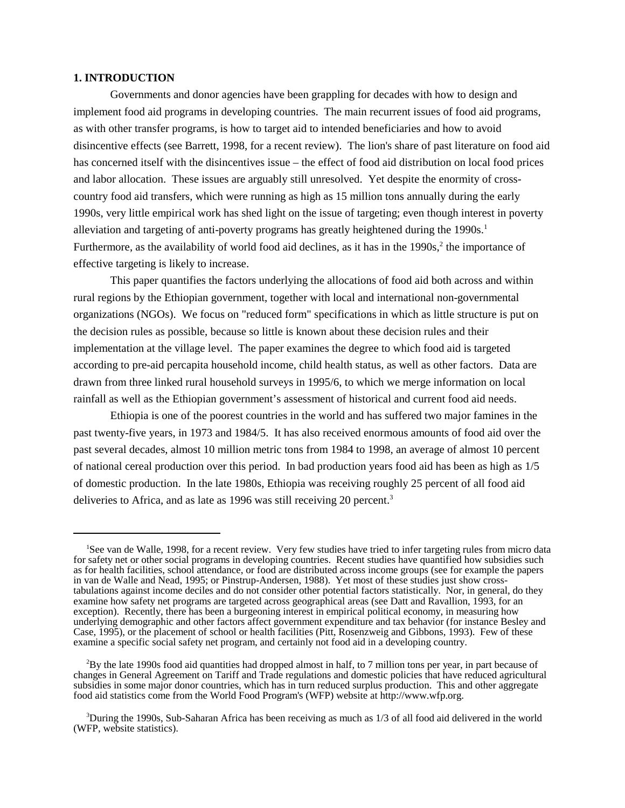## **1. INTRODUCTION**

Governments and donor agencies have been grappling for decades with how to design and implement food aid programs in developing countries. The main recurrent issues of food aid programs, as with other transfer programs, is how to target aid to intended beneficiaries and how to avoid disincentive effects (see Barrett, 1998, for a recent review). The lion's share of past literature on food aid has concerned itself with the disincentives issue – the effect of food aid distribution on local food prices and labor allocation. These issues are arguably still unresolved. Yet despite the enormity of crosscountry food aid transfers, which were running as high as 15 million tons annually during the early 1990s, very little empirical work has shed light on the issue of targeting; even though interest in poverty alleviation and targeting of anti-poverty programs has greatly heightened during the  $1990s<sup>1</sup>$ . Furthermore, as the availability of world food aid declines, as it has in the 1990s,<sup>2</sup> the importance of effective targeting is likely to increase.

This paper quantifies the factors underlying the allocations of food aid both across and within rural regions by the Ethiopian government, together with local and international non-governmental organizations (NGOs). We focus on "reduced form" specifications in which as little structure is put on the decision rules as possible, because so little is known about these decision rules and their implementation at the village level. The paper examines the degree to which food aid is targeted according to pre-aid percapita household income, child health status, as well as other factors. Data are drawn from three linked rural household surveys in 1995/6, to which we merge information on local rainfall as well as the Ethiopian government's assessment of historical and current food aid needs.

Ethiopia is one of the poorest countries in the world and has suffered two major famines in the past twenty-five years, in 1973 and 1984/5. It has also received enormous amounts of food aid over the past several decades, almost 10 million metric tons from 1984 to 1998, an average of almost 10 percent of national cereal production over this period. In bad production years food aid has been as high as 1/5 of domestic production. In the late 1980s, Ethiopia was receiving roughly 25 percent of all food aid deliveries to Africa, and as late as 1996 was still receiving 20 percent.<sup>3</sup>

 $\frac{1}{2}$ <sup>1</sup>See van de Walle, 1998, for a recent review. Very few studies have tried to infer targeting rules from micro data for safety net or other social programs in developing countries. Recent studies have quantified how subsidies such as for health facilities, school attendance, or food are distributed across income groups (see for example the papers in van de Walle and Nead, 1995; or Pinstrup-Andersen, 1988). Yet most of these studies just show crosstabulations against income deciles and do not consider other potential factors statistically. Nor, in general, do they examine how safety net programs are targeted across geographical areas (see Datt and Ravallion, 1993, for an exception). Recently, there has been a burgeoning interest in empirical political economy, in measuring how underlying demographic and other factors affect government expenditure and tax behavior (for instance Besley and Case, 1995), or the placement of school or health facilities (Pitt, Rosenzweig and Gibbons, 1993). Few of these examine a specific social safety net program, and certainly not food aid in a developing country.

<sup>&</sup>lt;sup>2</sup>By the late 1990s food aid quantities had dropped almost in half, to 7 million tons per year, in part because of changes in General Agreement on Tariff and Trade regulations and domestic policies that have reduced agricultural subsidies in some major donor countries, which has in turn reduced surplus production. This and other aggregate food aid statistics come from the World Food Program's (WFP) website at http://www.wfp.org.

<sup>&</sup>lt;sup>3</sup>During the 1990s, Sub-Saharan Africa has been receiving as much as 1/3 of all food aid delivered in the world (WFP, website statistics).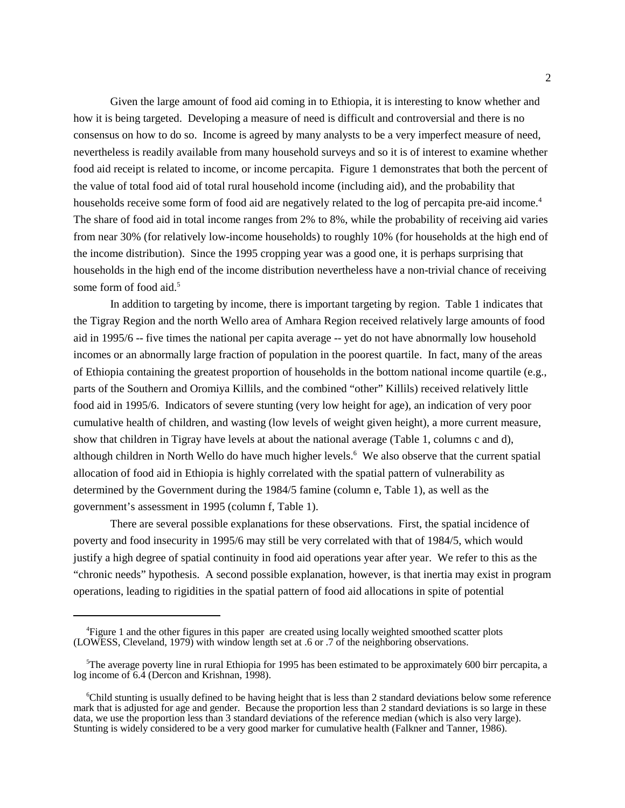Given the large amount of food aid coming in to Ethiopia, it is interesting to know whether and how it is being targeted. Developing a measure of need is difficult and controversial and there is no consensus on how to do so. Income is agreed by many analysts to be a very imperfect measure of need, nevertheless is readily available from many household surveys and so it is of interest to examine whether food aid receipt is related to income, or income percapita. Figure 1 demonstrates that both the percent of the value of total food aid of total rural household income (including aid), and the probability that households receive some form of food aid are negatively related to the log of percapita pre-aid income.<sup>4</sup> The share of food aid in total income ranges from 2% to 8%, while the probability of receiving aid varies from near 30% (for relatively low-income households) to roughly 10% (for households at the high end of the income distribution). Since the 1995 cropping year was a good one, it is perhaps surprising that households in the high end of the income distribution nevertheless have a non-trivial chance of receiving some form of food aid.<sup>5</sup>

In addition to targeting by income, there is important targeting by region. Table 1 indicates that the Tigray Region and the north Wello area of Amhara Region received relatively large amounts of food aid in 1995/6 -- five times the national per capita average -- yet do not have abnormally low household incomes or an abnormally large fraction of population in the poorest quartile. In fact, many of the areas of Ethiopia containing the greatest proportion of households in the bottom national income quartile (e.g., parts of the Southern and Oromiya Killils, and the combined "other" Killils) received relatively little food aid in 1995/6. Indicators of severe stunting (very low height for age), an indication of very poor cumulative health of children, and wasting (low levels of weight given height), a more current measure, show that children in Tigray have levels at about the national average (Table 1, columns c and d), although children in North Wello do have much higher levels.<sup>6</sup> We also observe that the current spatial allocation of food aid in Ethiopia is highly correlated with the spatial pattern of vulnerability as determined by the Government during the 1984/5 famine (column e, Table 1), as well as the government's assessment in 1995 (column f, Table 1).

There are several possible explanations for these observations. First, the spatial incidence of poverty and food insecurity in 1995/6 may still be very correlated with that of 1984/5, which would justify a high degree of spatial continuity in food aid operations year after year. We refer to this as the "chronic needs" hypothesis. A second possible explanation, however, is that inertia may exist in program operations, leading to rigidities in the spatial pattern of food aid allocations in spite of potential

 <sup>4</sup> Figure 1 and the other figures in this paper are created using locally weighted smoothed scatter plots (LOWESS, Cleveland, 1979) with window length set at .6 or .7 of the neighboring observations.

<sup>&</sup>lt;sup>5</sup>The average poverty line in rural Ethiopia for 1995 has been estimated to be approximately 600 birr percapita, a log income of 6.4 (Dercon and Krishnan, 1998).

 <sup>6</sup> <sup>6</sup>Child stunting is usually defined to be having height that is less than 2 standard deviations below some reference mark that is adjusted for age and gender. Because the proportion less than 2 standard deviations is so large in these data, we use the proportion less than 3 standard deviations of the reference median (which is also very large). Stunting is widely considered to be a very good marker for cumulative health (Falkner and Tanner, 1986).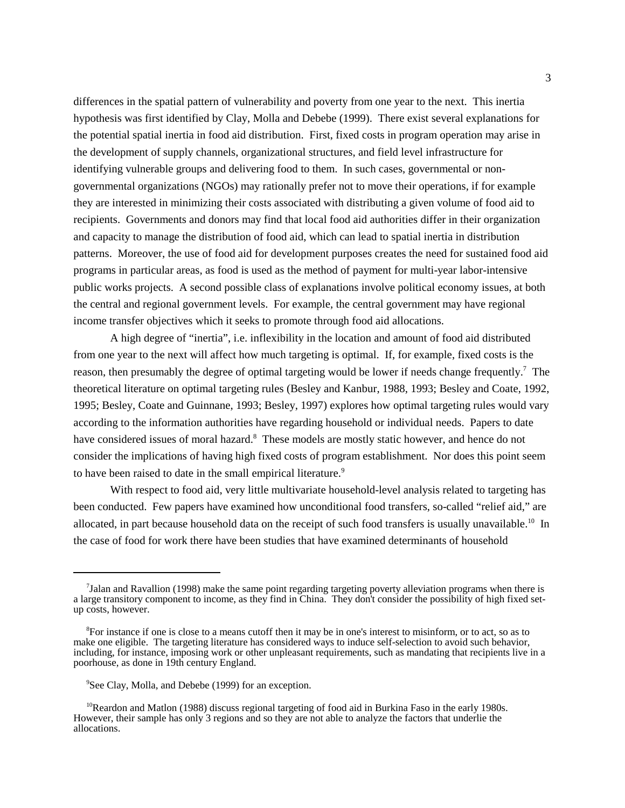differences in the spatial pattern of vulnerability and poverty from one year to the next. This inertia hypothesis was first identified by Clay, Molla and Debebe (1999). There exist several explanations for the potential spatial inertia in food aid distribution. First, fixed costs in program operation may arise in the development of supply channels, organizational structures, and field level infrastructure for identifying vulnerable groups and delivering food to them. In such cases, governmental or nongovernmental organizations (NGOs) may rationally prefer not to move their operations, if for example they are interested in minimizing their costs associated with distributing a given volume of food aid to recipients. Governments and donors may find that local food aid authorities differ in their organization and capacity to manage the distribution of food aid, which can lead to spatial inertia in distribution patterns. Moreover, the use of food aid for development purposes creates the need for sustained food aid programs in particular areas, as food is used as the method of payment for multi-year labor-intensive public works projects. A second possible class of explanations involve political economy issues, at both the central and regional government levels. For example, the central government may have regional income transfer objectives which it seeks to promote through food aid allocations.

A high degree of "inertia", i.e. inflexibility in the location and amount of food aid distributed from one year to the next will affect how much targeting is optimal. If, for example, fixed costs is the reason, then presumably the degree of optimal targeting would be lower if needs change frequently.<sup>7</sup> The theoretical literature on optimal targeting rules (Besley and Kanbur, 1988, 1993; Besley and Coate, 1992, 1995; Besley, Coate and Guinnane, 1993; Besley, 1997) explores how optimal targeting rules would vary according to the information authorities have regarding household or individual needs. Papers to date have considered issues of moral hazard.<sup>8</sup> These models are mostly static however, and hence do not consider the implications of having high fixed costs of program establishment. Nor does this point seem to have been raised to date in the small empirical literature.<sup>9</sup>

With respect to food aid, very little multivariate household-level analysis related to targeting has been conducted. Few papers have examined how unconditional food transfers, so-called "relief aid," are allocated, in part because household data on the receipt of such food transfers is usually unavailable.<sup>10</sup> In the case of food for work there have been studies that have examined determinants of household

<sup>&</sup>lt;sup>7</sup>Jalan and Ravallion (1998) make the same point regarding targeting poverty alleviation programs when there is a large transitory component to income, as they find in China. They don't consider the possibility of high fixed setup costs, however.

<sup>&</sup>lt;sup>8</sup>For instance if one is close to a means cutoff then it may be in one's interest to misinform, or to act, so as to make one eligible. The targeting literature has considered ways to induce self-selection to avoid such behavior, including, for instance, imposing work or other unpleasant requirements, such as mandating that recipients live in a poorhouse, as done in 19th century England.

<sup>&</sup>lt;sup>9</sup>See Clay, Molla, and Debebe (1999) for an exception.

 $10$ Reardon and Matlon (1988) discuss regional targeting of food aid in Burkina Faso in the early 1980s. However, their sample has only 3 regions and so they are not able to analyze the factors that underlie the allocations.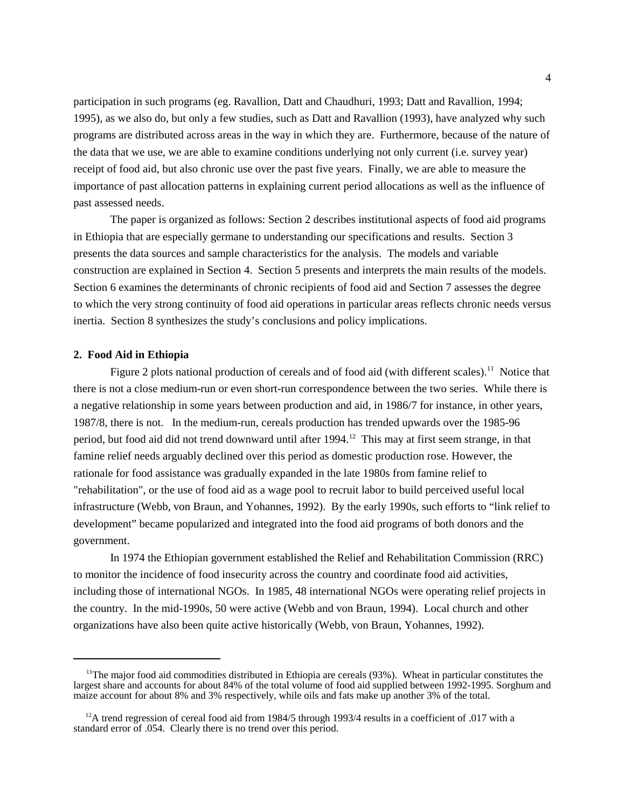participation in such programs (eg. Ravallion, Datt and Chaudhuri, 1993; Datt and Ravallion, 1994; 1995), as we also do, but only a few studies, such as Datt and Ravallion (1993), have analyzed why such programs are distributed across areas in the way in which they are. Furthermore, because of the nature of the data that we use, we are able to examine conditions underlying not only current (i.e. survey year) receipt of food aid, but also chronic use over the past five years. Finally, we are able to measure the importance of past allocation patterns in explaining current period allocations as well as the influence of past assessed needs.

The paper is organized as follows: Section 2 describes institutional aspects of food aid programs in Ethiopia that are especially germane to understanding our specifications and results. Section 3 presents the data sources and sample characteristics for the analysis. The models and variable construction are explained in Section 4. Section 5 presents and interprets the main results of the models. Section 6 examines the determinants of chronic recipients of food aid and Section 7 assesses the degree to which the very strong continuity of food aid operations in particular areas reflects chronic needs versus inertia. Section 8 synthesizes the study's conclusions and policy implications.

## **2. Food Aid in Ethiopia**

Figure 2 plots national production of cereals and of food aid (with different scales).<sup>11</sup> Notice that there is not a close medium-run or even short-run correspondence between the two series. While there is a negative relationship in some years between production and aid, in 1986/7 for instance, in other years, 1987/8, there is not. In the medium-run, cereals production has trended upwards over the 1985-96 period, but food aid did not trend downward until after 1994.12 This may at first seem strange, in that famine relief needs arguably declined over this period as domestic production rose. However, the rationale for food assistance was gradually expanded in the late 1980s from famine relief to "rehabilitation", or the use of food aid as a wage pool to recruit labor to build perceived useful local infrastructure (Webb, von Braun, and Yohannes, 1992). By the early 1990s, such efforts to "link relief to development" became popularized and integrated into the food aid programs of both donors and the government.

In 1974 the Ethiopian government established the Relief and Rehabilitation Commission (RRC) to monitor the incidence of food insecurity across the country and coordinate food aid activities, including those of international NGOs. In 1985, 48 international NGOs were operating relief projects in the country. In the mid-1990s, 50 were active (Webb and von Braun, 1994). Local church and other organizations have also been quite active historically (Webb, von Braun, Yohannes, 1992).

<sup>&</sup>lt;sup>11</sup>The major food aid commodities distributed in Ethiopia are cereals (93%). Wheat in particular constitutes the largest share and accounts for about 84% of the total volume of food aid supplied between 1992-1995. Sorghum and maize account for about 8% and 3% respectively, while oils and fats make up another 3% of the total.

<sup>&</sup>lt;sup>12</sup>A trend regression of cereal food aid from 1984/5 through 1993/4 results in a coefficient of .017 with a standard error of .054. Clearly there is no trend over this period.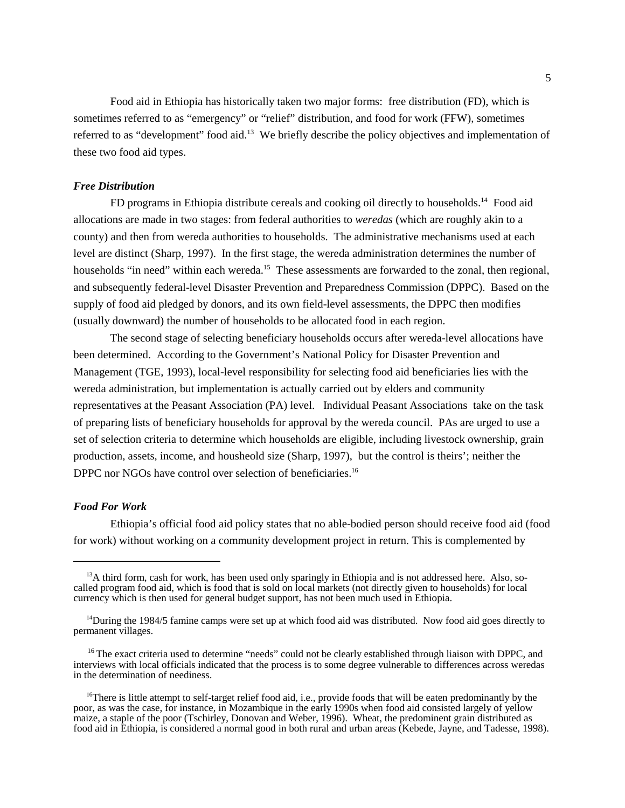Food aid in Ethiopia has historically taken two major forms: free distribution (FD), which is sometimes referred to as "emergency" or "relief" distribution, and food for work (FFW), sometimes referred to as "development" food aid.13 We briefly describe the policy objectives and implementation of these two food aid types.

## *Free Distribution*

FD programs in Ethiopia distribute cereals and cooking oil directly to households.<sup>14</sup> Food aid allocations are made in two stages: from federal authorities to *weredas* (which are roughly akin to a county) and then from wereda authorities to households. The administrative mechanisms used at each level are distinct (Sharp, 1997). In the first stage, the wereda administration determines the number of households "in need" within each wereda.<sup>15</sup> These assessments are forwarded to the zonal, then regional, and subsequently federal-level Disaster Prevention and Preparedness Commission (DPPC). Based on the supply of food aid pledged by donors, and its own field-level assessments, the DPPC then modifies (usually downward) the number of households to be allocated food in each region.

The second stage of selecting beneficiary households occurs after wereda-level allocations have been determined. According to the Government's National Policy for Disaster Prevention and Management (TGE, 1993), local-level responsibility for selecting food aid beneficiaries lies with the wereda administration, but implementation is actually carried out by elders and community representatives at the Peasant Association (PA) level. Individual Peasant Associations take on the task of preparing lists of beneficiary households for approval by the wereda council. PAs are urged to use a set of selection criteria to determine which households are eligible, including livestock ownership, grain production, assets, income, and housheold size (Sharp, 1997), but the control is theirs'; neither the DPPC nor NGOs have control over selection of beneficiaries.<sup>16</sup>

#### *Food For Work*

Ethiopia's official food aid policy states that no able-bodied person should receive food aid (food for work) without working on a community development project in return. This is complemented by

 $13A$  third form, cash for work, has been used only sparingly in Ethiopia and is not addressed here. Also, socalled program food aid, which is food that is sold on local markets (not directly given to households) for local currency which is then used for general budget support, has not been much used in Ethiopia.

<sup>&</sup>lt;sup>14</sup>During the 1984/5 famine camps were set up at which food aid was distributed. Now food aid goes directly to permanent villages.

<sup>&</sup>lt;sup>16</sup> The exact criteria used to determine "needs" could not be clearly established through liaison with DPPC, and interviews with local officials indicated that the process is to some degree vulnerable to differences across weredas in the determination of neediness.

 $16$ There is little attempt to self-target relief food aid, i.e., provide foods that will be eaten predominantly by the poor, as was the case, for instance, in Mozambique in the early 1990s when food aid consisted largely of yellow maize, a staple of the poor (Tschirley, Donovan and Weber, 1996). Wheat, the predominent grain distributed as food aid in Ethiopia, is considered a normal good in both rural and urban areas (Kebede, Jayne, and Tadesse, 1998).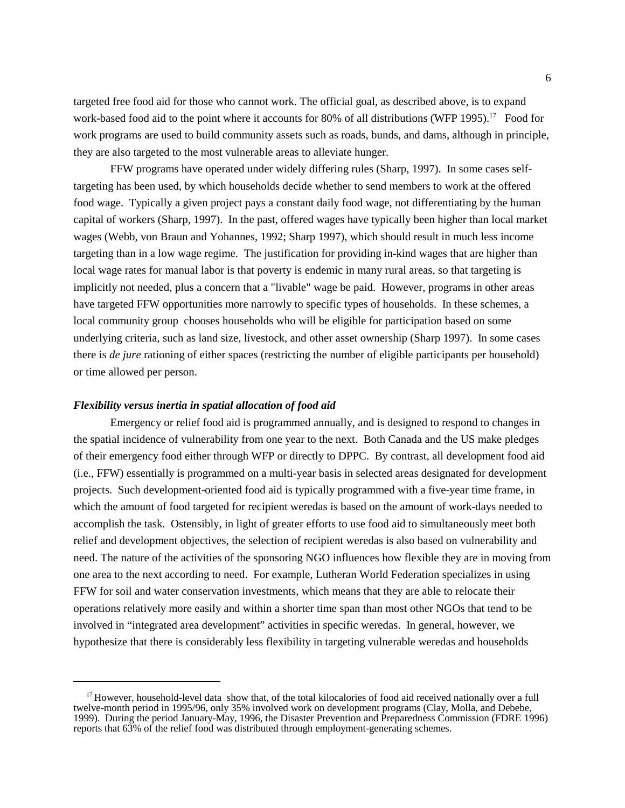targeted free food aid for those who cannot work. The official goal, as described above, is to expand work-based food aid to the point where it accounts for 80% of all distributions (WFP 1995).<sup>17</sup> Food for work programs are used to build community assets such as roads, bunds, and dams, although in principle, they are also targeted to the most vulnerable areas to alleviate hunger.

FFW programs have operated under widely differing rules (Sharp, 1997). In some cases selftargeting has been used, by which households decide whether to send members to work at the offered food wage. Typically a given project pays a constant daily food wage, not differentiating by the human capital of workers (Sharp, 1997). In the past, offered wages have typically been higher than local market wages (Webb, von Braun and Yohannes, 1992; Sharp 1997), which should result in much less income targeting than in a low wage regime. The justification for providing in-kind wages that are higher than local wage rates for manual labor is that poverty is endemic in many rural areas, so that targeting is implicitly not needed, plus a concern that a "livable" wage be paid. However, programs in other areas have targeted FFW opportunities more narrowly to specific types of households. In these schemes, a local community group chooses households who will be eligible for participation based on some underlying criteria, such as land size, livestock, and other asset ownership (Sharp 1997). In some cases there is *de jure* rationing of either spaces (restricting the number of eligible participants per household) or time allowed per person.

# *Flexibility versus inertia in spatial allocation of food aid*

Emergency or relief food aid is programmed annually, and is designed to respond to changes in the spatial incidence of vulnerability from one year to the next. Both Canada and the US make pledges of their emergency food either through WFP or directly to DPPC. By contrast, all development food aid (i.e., FFW) essentially is programmed on a multi-year basis in selected areas designated for development projects. Such development-oriented food aid is typically programmed with a five-year time frame, in which the amount of food targeted for recipient weredas is based on the amount of work-days needed to accomplish the task. Ostensibly, in light of greater efforts to use food aid to simultaneously meet both relief and development objectives, the selection of recipient weredas is also based on vulnerability and need. The nature of the activities of the sponsoring NGO influences how flexible they are in moving from one area to the next according to need. For example, Lutheran World Federation specializes in using FFW for soil and water conservation investments, which means that they are able to relocate their operations relatively more easily and within a shorter time span than most other NGOs that tend to be involved in "integrated area development" activities in specific weredas. In general, however, we hypothesize that there is considerably less flexibility in targeting vulnerable weredas and households

 $17$  However, household-level data show that, of the total kilocalories of food aid received nationally over a full twelve-month period in 1995/96, only 35% involved work on development programs (Clay, Molla, and Debebe, 1999). During the period January-May, 1996, the Disaster Prevention and Preparedness Commission (FDRE 1996) reports that 63% of the relief food was distributed through employment-generating schemes.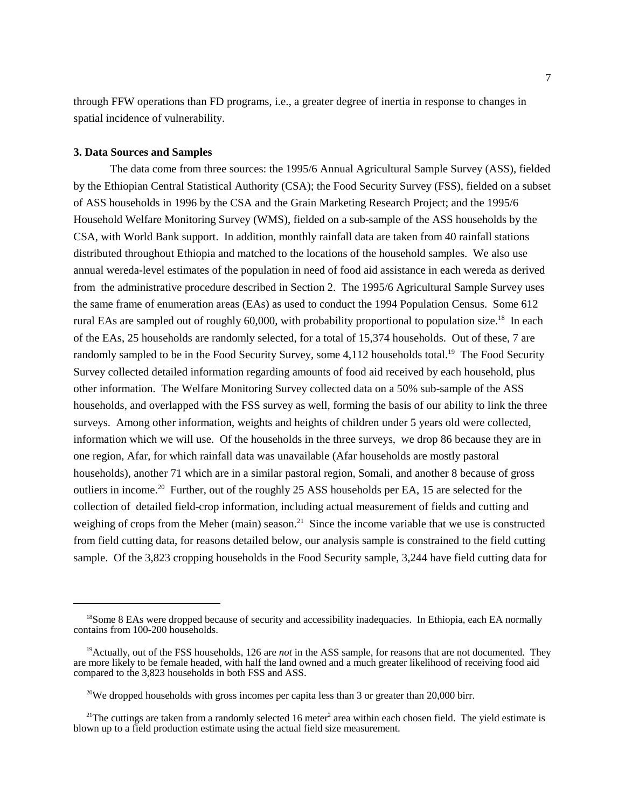through FFW operations than FD programs, i.e., a greater degree of inertia in response to changes in spatial incidence of vulnerability.

# **3. Data Sources and Samples**

The data come from three sources: the 1995/6 Annual Agricultural Sample Survey (ASS), fielded by the Ethiopian Central Statistical Authority (CSA); the Food Security Survey (FSS), fielded on a subset of ASS households in 1996 by the CSA and the Grain Marketing Research Project; and the 1995/6 Household Welfare Monitoring Survey (WMS), fielded on a sub-sample of the ASS households by the CSA, with World Bank support. In addition, monthly rainfall data are taken from 40 rainfall stations distributed throughout Ethiopia and matched to the locations of the household samples. We also use annual wereda-level estimates of the population in need of food aid assistance in each wereda as derived from the administrative procedure described in Section 2. The 1995/6 Agricultural Sample Survey uses the same frame of enumeration areas (EAs) as used to conduct the 1994 Population Census. Some 612 rural EAs are sampled out of roughly 60,000, with probability proportional to population size.<sup>18</sup> In each of the EAs, 25 households are randomly selected, for a total of 15,374 households. Out of these, 7 are randomly sampled to be in the Food Security Survey, some 4,112 households total.<sup>19</sup> The Food Security Survey collected detailed information regarding amounts of food aid received by each household, plus other information. The Welfare Monitoring Survey collected data on a 50% sub-sample of the ASS households, and overlapped with the FSS survey as well, forming the basis of our ability to link the three surveys. Among other information, weights and heights of children under 5 years old were collected, information which we will use. Of the households in the three surveys, we drop 86 because they are in one region, Afar, for which rainfall data was unavailable (Afar households are mostly pastoral households), another 71 which are in a similar pastoral region, Somali, and another 8 because of gross outliers in income.<sup>20</sup> Further, out of the roughly 25 ASS households per EA, 15 are selected for the collection of detailed field-crop information, including actual measurement of fields and cutting and weighing of crops from the Meher (main) season.<sup>21</sup> Since the income variable that we use is constructed from field cutting data, for reasons detailed below, our analysis sample is constrained to the field cutting sample. Of the 3,823 cropping households in the Food Security sample, 3,244 have field cutting data for

<sup>&</sup>lt;sup>18</sup>Some 8 EAs were dropped because of security and accessibility inadequacies. In Ethiopia, each EA normally contains from 100-200 households.

<sup>&</sup>lt;sup>19</sup>Actually, out of the FSS households, 126 are *not* in the ASS sample, for reasons that are not documented. They are more likely to be female headed, with half the land owned and a much greater likelihood of receiving food aid compared to the 3,823 households in both FSS and ASS.

<sup>&</sup>lt;sup>20</sup>We dropped households with gross incomes per capita less than 3 or greater than 20,000 birr.

<sup>&</sup>lt;sup>21</sup>The cuttings are taken from a randomly selected 16 meter<sup>2</sup> area within each chosen field. The yield estimate is blown up to a field production estimate using the actual field size measurement.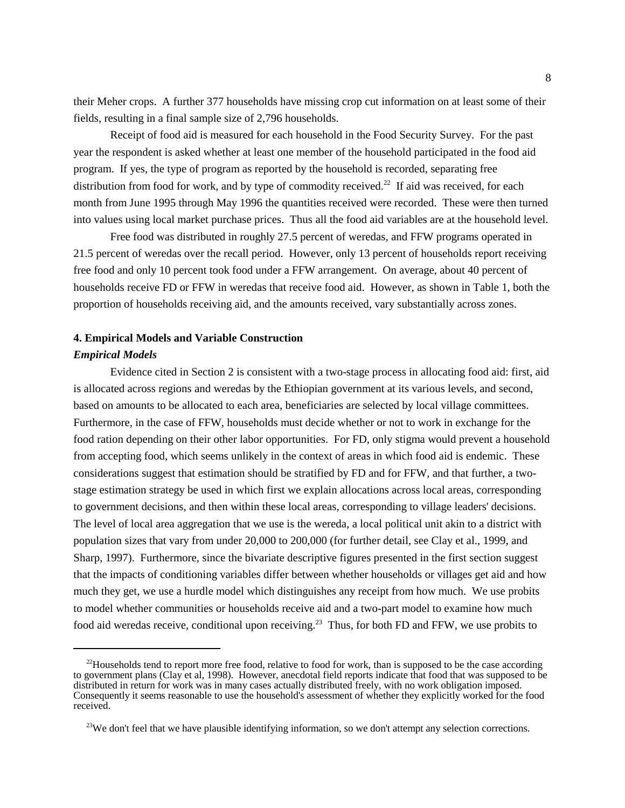their Meher crops. A further 377 households have missing crop cut information on at least some of their fields, resulting in a final sample size of 2,796 households.

Receipt of food aid is measured for each household in the Food Security Survey. For the past year the respondent is asked whether at least one member of the household participated in the food aid program. If yes, the type of program as reported by the household is recorded, separating free distribution from food for work, and by type of commodity received.<sup>22</sup> If aid was received, for each month from June 1995 through May 1996 the quantities received were recorded. These were then turned into values using local market purchase prices. Thus all the food aid variables are at the household level.

Free food was distributed in roughly 27.5 percent of weredas, and FFW programs operated in 21.5 percent of weredas over the recall period. However, only 13 percent of households report receiving free food and only 10 percent took food under a FFW arrangement. On average, about 40 percent of households receive FD or FFW in weredas that receive food aid. However, as shown in Table 1, both the proportion of households receiving aid, and the amounts received, vary substantially across zones.

# **4. Empirical Models and Variable Construction**

#### *Empirical Models*

Evidence cited in Section 2 is consistent with a two-stage process in allocating food aid: first, aid is allocated across regions and weredas by the Ethiopian government at its various levels, and second, based on amounts to be allocated to each area, beneficiaries are selected by local village committees. Furthermore, in the case of FFW, households must decide whether or not to work in exchange for the food ration depending on their other labor opportunities. For FD, only stigma would prevent a household from accepting food, which seems unlikely in the context of areas in which food aid is endemic. These considerations suggest that estimation should be stratified by FD and for FFW, and that further, a twostage estimation strategy be used in which first we explain allocations across local areas, corresponding to government decisions, and then within these local areas, corresponding to village leaders' decisions. The level of local area aggregation that we use is the wereda, a local political unit akin to a district with population sizes that vary from under 20,000 to 200,000 (for further detail, see Clay et al., 1999, and Sharp, 1997). Furthermore, since the bivariate descriptive figures presented in the first section suggest that the impacts of conditioning variables differ between whether households or villages get aid and how much they get, we use a hurdle model which distinguishes any receipt from how much. We use probits to model whether communities or households receive aid and a two-part model to examine how much food aid weredas receive, conditional upon receiving.<sup>23</sup> Thus, for both FD and FFW, we use probits to

 $^{22}$ Households tend to report more free food, relative to food for work, than is supposed to be the case according to government plans (Clay et al, 1998). However, anecdotal field reports indicate that food that was supposed to be distributed in return for work was in many cases actually distributed freely, with no work obligation imposed. Consequently it seems reasonable to use the household's assessment of whether they explicitly worked for the food received.

 $^{23}$ We don't feel that we have plausible identifying information, so we don't attempt any selection corrections.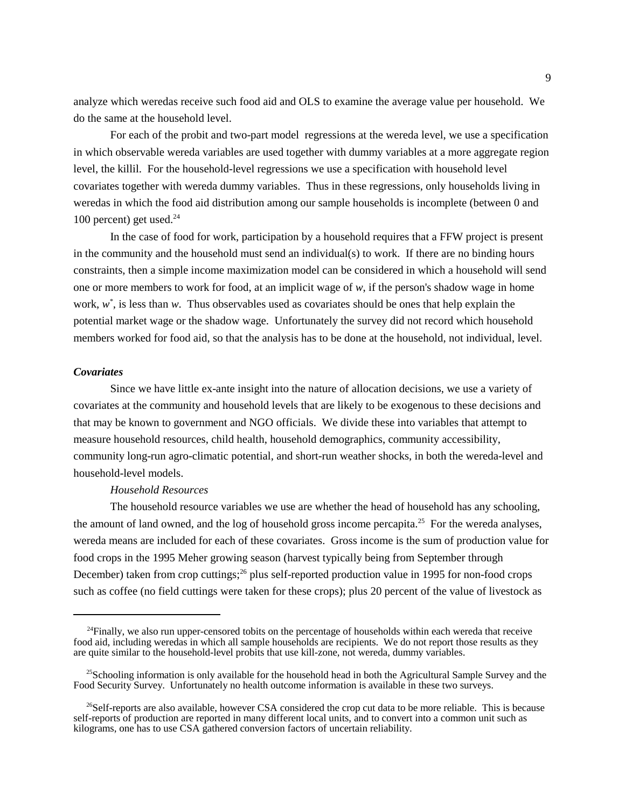analyze which weredas receive such food aid and OLS to examine the average value per household. We do the same at the household level.

For each of the probit and two-part model regressions at the wereda level, we use a specification in which observable wereda variables are used together with dummy variables at a more aggregate region level, the killil. For the household-level regressions we use a specification with household level covariates together with wereda dummy variables. Thus in these regressions, only households living in weredas in which the food aid distribution among our sample households is incomplete (between 0 and 100 percent) get used. $24$ 

In the case of food for work, participation by a household requires that a FFW project is present in the community and the household must send an individual(s) to work. If there are no binding hours constraints, then a simple income maximization model can be considered in which a household will send one or more members to work for food, at an implicit wage of *w*, if the person's shadow wage in home work, *w\** , is less than *w*. Thus observables used as covariates should be ones that help explain the potential market wage or the shadow wage. Unfortunately the survey did not record which household members worked for food aid, so that the analysis has to be done at the household, not individual, level.

#### *Covariates*

Since we have little ex-ante insight into the nature of allocation decisions, we use a variety of covariates at the community and household levels that are likely to be exogenous to these decisions and that may be known to government and NGO officials. We divide these into variables that attempt to measure household resources, child health, household demographics, community accessibility, community long-run agro-climatic potential, and short-run weather shocks, in both the wereda-level and household-level models.

# *Household Resources*

The household resource variables we use are whether the head of household has any schooling, the amount of land owned, and the log of household gross income percapita.<sup>25</sup> For the wereda analyses, wereda means are included for each of these covariates. Gross income is the sum of production value for food crops in the 1995 Meher growing season (harvest typically being from September through December) taken from crop cuttings;<sup>26</sup> plus self-reported production value in 1995 for non-food crops such as coffee (no field cuttings were taken for these crops); plus 20 percent of the value of livestock as

 $24$ Finally, we also run upper-censored tobits on the percentage of households within each wereda that receive food aid, including weredas in which all sample households are recipients. We do not report those results as they are quite similar to the household-level probits that use kill-zone, not wereda, dummy variables.

 $25$ Schooling information is only available for the household head in both the Agricultural Sample Survey and the Food Security Survey. Unfortunately no health outcome information is available in these two surveys.

<sup>&</sup>lt;sup>26</sup>Self-reports are also available, however CSA considered the crop cut data to be more reliable. This is because self-reports of production are reported in many different local units, and to convert into a common unit such as kilograms, one has to use CSA gathered conversion factors of uncertain reliability.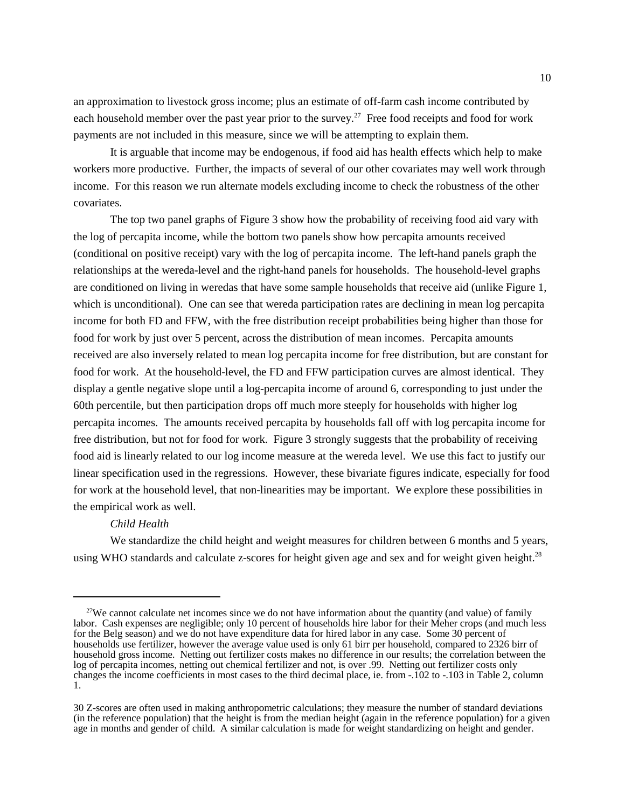an approximation to livestock gross income; plus an estimate of off-farm cash income contributed by each household member over the past year prior to the survey.<sup>27</sup> Free food receipts and food for work payments are not included in this measure, since we will be attempting to explain them.

It is arguable that income may be endogenous, if food aid has health effects which help to make workers more productive. Further, the impacts of several of our other covariates may well work through income. For this reason we run alternate models excluding income to check the robustness of the other covariates.

The top two panel graphs of Figure 3 show how the probability of receiving food aid vary with the log of percapita income, while the bottom two panels show how percapita amounts received (conditional on positive receipt) vary with the log of percapita income. The left-hand panels graph the relationships at the wereda-level and the right-hand panels for households. The household-level graphs are conditioned on living in weredas that have some sample households that receive aid (unlike Figure 1, which is unconditional). One can see that wereda participation rates are declining in mean log percapita income for both FD and FFW, with the free distribution receipt probabilities being higher than those for food for work by just over 5 percent, across the distribution of mean incomes. Percapita amounts received are also inversely related to mean log percapita income for free distribution, but are constant for food for work. At the household-level, the FD and FFW participation curves are almost identical. They display a gentle negative slope until a log-percapita income of around 6, corresponding to just under the 60th percentile, but then participation drops off much more steeply for households with higher log percapita incomes. The amounts received percapita by households fall off with log percapita income for free distribution, but not for food for work. Figure 3 strongly suggests that the probability of receiving food aid is linearly related to our log income measure at the wereda level. We use this fact to justify our linear specification used in the regressions. However, these bivariate figures indicate, especially for food for work at the household level, that non-linearities may be important. We explore these possibilities in the empirical work as well.

# *Child Health*

We standardize the child height and weight measures for children between 6 months and 5 years, using WHO standards and calculate z-scores for height given age and sex and for weight given height.<sup>28</sup>

<sup>&</sup>lt;sup>27</sup>We cannot calculate net incomes since we do not have information about the quantity (and value) of family labor. Cash expenses are negligible; only 10 percent of households hire labor for their Meher crops (and much less for the Belg season) and we do not have expenditure data for hired labor in any case. Some 30 percent of households use fertilizer, however the average value used is only 61 birr per household, compared to 2326 birr of household gross income. Netting out fertilizer costs makes no difference in our results; the correlation between the log of percapita incomes, netting out chemical fertilizer and not, is over .99. Netting out fertilizer costs only changes the income coefficients in most cases to the third decimal place, ie. from -.102 to -.103 in Table 2, column 1.

<sup>30</sup> Z-scores are often used in making anthropometric calculations; they measure the number of standard deviations (in the reference population) that the height is from the median height (again in the reference population) for a given age in months and gender of child. A similar calculation is made for weight standardizing on height and gender.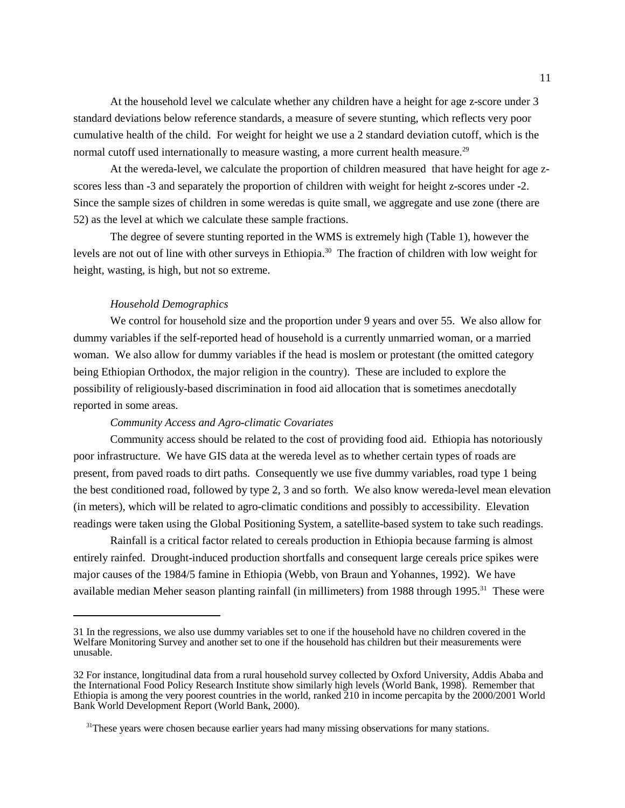At the household level we calculate whether any children have a height for age z-score under 3 standard deviations below reference standards, a measure of severe stunting, which reflects very poor cumulative health of the child. For weight for height we use a 2 standard deviation cutoff, which is the normal cutoff used internationally to measure wasting, a more current health measure.<sup>29</sup>

At the wereda-level, we calculate the proportion of children measured that have height for age zscores less than -3 and separately the proportion of children with weight for height z-scores under -2. Since the sample sizes of children in some weredas is quite small, we aggregate and use zone (there are 52) as the level at which we calculate these sample fractions.

The degree of severe stunting reported in the WMS is extremely high (Table 1), however the levels are not out of line with other surveys in Ethiopia.30 The fraction of children with low weight for height, wasting, is high, but not so extreme.

# *Household Demographics*

We control for household size and the proportion under 9 years and over 55. We also allow for dummy variables if the self-reported head of household is a currently unmarried woman, or a married woman. We also allow for dummy variables if the head is moslem or protestant (the omitted category being Ethiopian Orthodox, the major religion in the country). These are included to explore the possibility of religiously-based discrimination in food aid allocation that is sometimes anecdotally reported in some areas.

#### *Community Access and Agro-climatic Covariates*

Community access should be related to the cost of providing food aid. Ethiopia has notoriously poor infrastructure. We have GIS data at the wereda level as to whether certain types of roads are present, from paved roads to dirt paths. Consequently we use five dummy variables, road type 1 being the best conditioned road, followed by type 2, 3 and so forth. We also know wereda-level mean elevation (in meters), which will be related to agro-climatic conditions and possibly to accessibility. Elevation readings were taken using the Global Positioning System, a satellite-based system to take such readings.

Rainfall is a critical factor related to cereals production in Ethiopia because farming is almost entirely rainfed. Drought-induced production shortfalls and consequent large cereals price spikes were major causes of the 1984/5 famine in Ethiopia (Webb, von Braun and Yohannes, 1992). We have available median Meher season planting rainfall (in millimeters) from 1988 through 1995.<sup>31</sup> These were

<sup>31</sup> In the regressions, we also use dummy variables set to one if the household have no children covered in the Welfare Monitoring Survey and another set to one if the household has children but their measurements were unusable.

<sup>32</sup> For instance, longitudinal data from a rural household survey collected by Oxford University, Addis Ababa and the International Food Policy Research Institute show similarly high levels (World Bank, 1998). Remember that Ethiopia is among the very poorest countries in the world, ranked 210 in income percapita by the 2000/2001 World Bank World Development Report (World Bank, 2000).

<sup>&</sup>lt;sup>31</sup>These years were chosen because earlier years had many missing observations for many stations.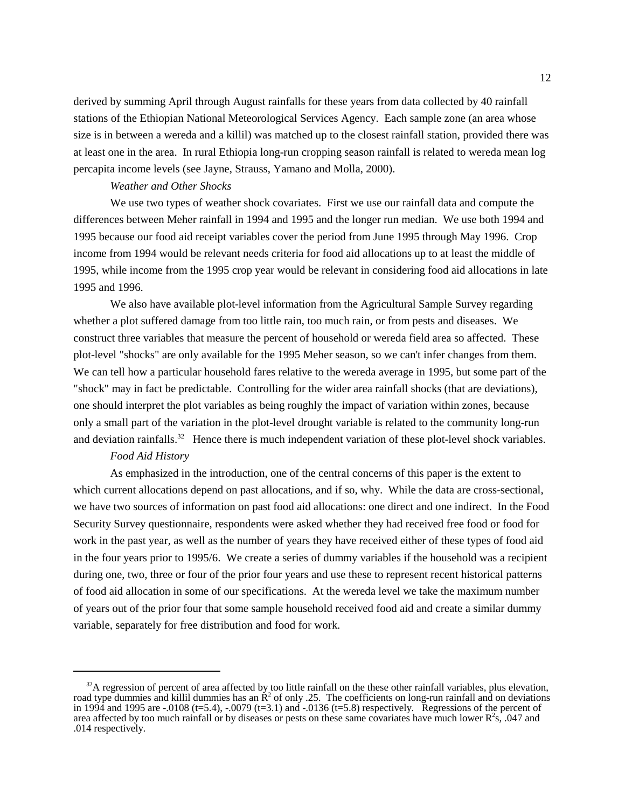derived by summing April through August rainfalls for these years from data collected by 40 rainfall stations of the Ethiopian National Meteorological Services Agency. Each sample zone (an area whose size is in between a wereda and a killil) was matched up to the closest rainfall station, provided there was at least one in the area. In rural Ethiopia long-run cropping season rainfall is related to wereda mean log percapita income levels (see Jayne, Strauss, Yamano and Molla, 2000).

## *Weather and Other Shocks*

We use two types of weather shock covariates. First we use our rainfall data and compute the differences between Meher rainfall in 1994 and 1995 and the longer run median. We use both 1994 and 1995 because our food aid receipt variables cover the period from June 1995 through May 1996. Crop income from 1994 would be relevant needs criteria for food aid allocations up to at least the middle of 1995, while income from the 1995 crop year would be relevant in considering food aid allocations in late 1995 and 1996.

We also have available plot-level information from the Agricultural Sample Survey regarding whether a plot suffered damage from too little rain, too much rain, or from pests and diseases. We construct three variables that measure the percent of household or wereda field area so affected. These plot-level "shocks" are only available for the 1995 Meher season, so we can't infer changes from them. We can tell how a particular household fares relative to the wereda average in 1995, but some part of the "shock" may in fact be predictable. Controlling for the wider area rainfall shocks (that are deviations), one should interpret the plot variables as being roughly the impact of variation within zones, because only a small part of the variation in the plot-level drought variable is related to the community long-run and deviation rainfalls.<sup>32</sup> Hence there is much independent variation of these plot-level shock variables.

# *Food Aid History*

As emphasized in the introduction, one of the central concerns of this paper is the extent to which current allocations depend on past allocations, and if so, why. While the data are cross-sectional, we have two sources of information on past food aid allocations: one direct and one indirect. In the Food Security Survey questionnaire, respondents were asked whether they had received free food or food for work in the past year, as well as the number of years they have received either of these types of food aid in the four years prior to 1995/6. We create a series of dummy variables if the household was a recipient during one, two, three or four of the prior four years and use these to represent recent historical patterns of food aid allocation in some of our specifications. At the wereda level we take the maximum number of years out of the prior four that some sample household received food aid and create a similar dummy variable, separately for free distribution and food for work.

<sup>&</sup>lt;sup>32</sup>A regression of percent of area affected by too little rainfall on the these other rainfall variables, plus elevation, road type dummies and killil dummies has an  $\dot{R}^2$  of only .25. The coefficients on long-run rainfall and on deviations in 1994 and 1995 are -.0108 (t=5.4), -.0079 (t=3.1) and -.0136 (t=5.8) respectively. Regressions of the percent of area affected by too much rainfall or by diseases or pests on these same covariates have much lower  $R^2$ s, 047 and .014 respectively.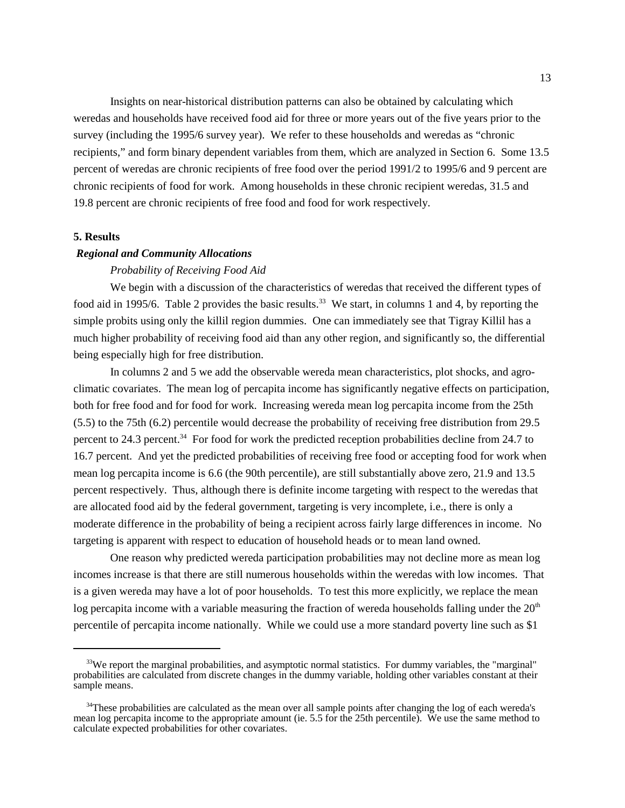Insights on near-historical distribution patterns can also be obtained by calculating which weredas and households have received food aid for three or more years out of the five years prior to the survey (including the 1995/6 survey year). We refer to these households and weredas as "chronic recipients," and form binary dependent variables from them, which are analyzed in Section 6. Some 13.5 percent of weredas are chronic recipients of free food over the period 1991/2 to 1995/6 and 9 percent are chronic recipients of food for work. Among households in these chronic recipient weredas, 31.5 and 19.8 percent are chronic recipients of free food and food for work respectively.

## **5. Results**

# *Regional and Community Allocations*

#### *Probability of Receiving Food Aid*

We begin with a discussion of the characteristics of weredas that received the different types of food aid in 1995/6. Table 2 provides the basic results.<sup>33</sup> We start, in columns 1 and 4, by reporting the simple probits using only the killil region dummies. One can immediately see that Tigray Killil has a much higher probability of receiving food aid than any other region, and significantly so, the differential being especially high for free distribution.

In columns 2 and 5 we add the observable wereda mean characteristics, plot shocks, and agroclimatic covariates. The mean log of percapita income has significantly negative effects on participation, both for free food and for food for work. Increasing wereda mean log percapita income from the 25th (5.5) to the 75th (6.2) percentile would decrease the probability of receiving free distribution from 29.5 percent to 24.3 percent.<sup>34</sup> For food for work the predicted reception probabilities decline from 24.7 to 16.7 percent. And yet the predicted probabilities of receiving free food or accepting food for work when mean log percapita income is 6.6 (the 90th percentile), are still substantially above zero, 21.9 and 13.5 percent respectively. Thus, although there is definite income targeting with respect to the weredas that are allocated food aid by the federal government, targeting is very incomplete, i.e., there is only a moderate difference in the probability of being a recipient across fairly large differences in income. No targeting is apparent with respect to education of household heads or to mean land owned.

One reason why predicted wereda participation probabilities may not decline more as mean log incomes increase is that there are still numerous households within the weredas with low incomes. That is a given wereda may have a lot of poor households. To test this more explicitly, we replace the mean log percapita income with a variable measuring the fraction of wereda households falling under the  $20<sup>th</sup>$ percentile of percapita income nationally. While we could use a more standard poverty line such as \$1

<sup>&</sup>lt;sup>33</sup>We report the marginal probabilities, and asymptotic normal statistics. For dummy variables, the "marginal" probabilities are calculated from discrete changes in the dummy variable, holding other variables constant at their sample means.

<sup>&</sup>lt;sup>34</sup>These probabilities are calculated as the mean over all sample points after changing the log of each wereda's mean log percapita income to the appropriate amount (ie. 5.5 for the 25th percentile). We use the same method to calculate expected probabilities for other covariates.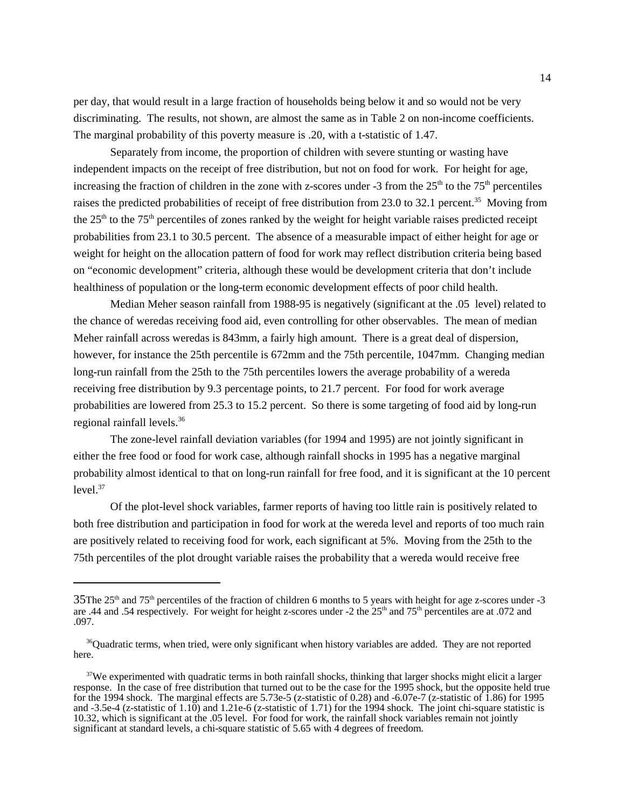per day, that would result in a large fraction of households being below it and so would not be very discriminating. The results, not shown, are almost the same as in Table 2 on non-income coefficients. The marginal probability of this poverty measure is .20, with a t-statistic of 1.47.

Separately from income, the proportion of children with severe stunting or wasting have independent impacts on the receipt of free distribution, but not on food for work. For height for age, increasing the fraction of children in the zone with z-scores under -3 from the  $25<sup>th</sup>$  to the  $75<sup>th</sup>$  percentiles raises the predicted probabilities of receipt of free distribution from 23.0 to 32.1 percent.<sup>35</sup> Moving from the  $25<sup>th</sup>$  to the  $75<sup>th</sup>$  percentiles of zones ranked by the weight for height variable raises predicted receipt probabilities from 23.1 to 30.5 percent. The absence of a measurable impact of either height for age or weight for height on the allocation pattern of food for work may reflect distribution criteria being based on "economic development" criteria, although these would be development criteria that don't include healthiness of population or the long-term economic development effects of poor child health.

Median Meher season rainfall from 1988-95 is negatively (significant at the .05 level) related to the chance of weredas receiving food aid, even controlling for other observables. The mean of median Meher rainfall across weredas is 843mm, a fairly high amount. There is a great deal of dispersion, however, for instance the 25th percentile is 672mm and the 75th percentile, 1047mm. Changing median long-run rainfall from the 25th to the 75th percentiles lowers the average probability of a wereda receiving free distribution by 9.3 percentage points, to 21.7 percent. For food for work average probabilities are lowered from 25.3 to 15.2 percent. So there is some targeting of food aid by long-run regional rainfall levels.<sup>36</sup>

The zone-level rainfall deviation variables (for 1994 and 1995) are not jointly significant in either the free food or food for work case, although rainfall shocks in 1995 has a negative marginal probability almost identical to that on long-run rainfall for free food, and it is significant at the 10 percent  $level.<sup>37</sup>$ 

Of the plot-level shock variables, farmer reports of having too little rain is positively related to both free distribution and participation in food for work at the wereda level and reports of too much rain are positively related to receiving food for work, each significant at 5%. Moving from the 25th to the 75th percentiles of the plot drought variable raises the probability that a wereda would receive free

 $35$ The  $25<sup>th</sup>$  and  $75<sup>th</sup>$  percentiles of the fraction of children 6 months to 5 years with height for age z-scores under -3 are .44 and .54 respectively. For weight for height z-scores under -2 the 25<sup>th</sup> and 75<sup>th</sup> percentiles are at .072 and .097.

<sup>&</sup>lt;sup>36</sup>Quadratic terms, when tried, were only significant when history variables are added. They are not reported here.

<sup>&</sup>lt;sup>37</sup>We experimented with quadratic terms in both rainfall shocks, thinking that larger shocks might elicit a larger response. In the case of free distribution that turned out to be the case for the 1995 shock, but the opposite held true for the 1994 shock. The marginal effects are 5.73e-5 (z-statistic of 0.28) and -6.07e-7 (z-statistic of 1.86) for 1995 and -3.5e-4 (z-statistic of 1.10) and 1.21e-6 (z-statistic of 1.71) for the 1994 shock. The joint chi-square statistic is 10.32, which is significant at the .05 level. For food for work, the rainfall shock variables remain not jointly significant at standard levels, a chi-square statistic of 5.65 with 4 degrees of freedom.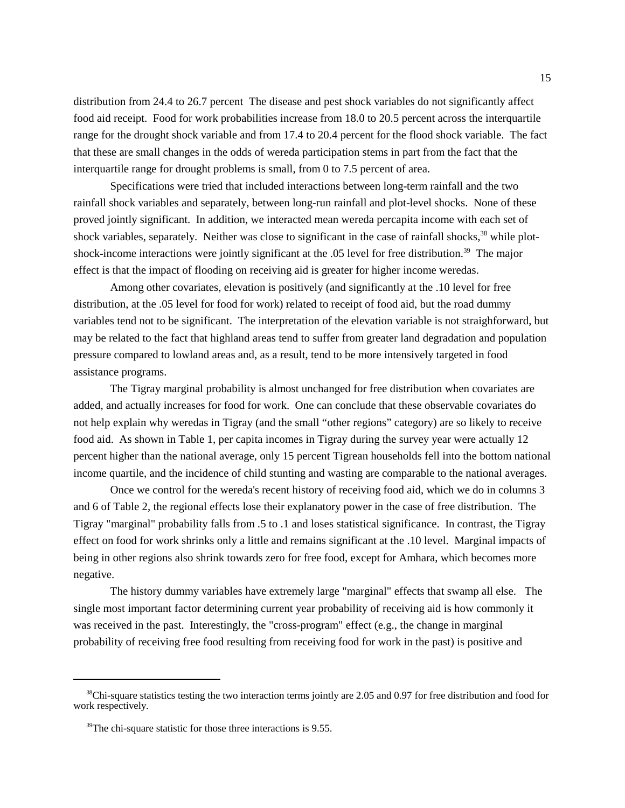distribution from 24.4 to 26.7 percent The disease and pest shock variables do not significantly affect food aid receipt. Food for work probabilities increase from 18.0 to 20.5 percent across the interquartile range for the drought shock variable and from 17.4 to 20.4 percent for the flood shock variable. The fact that these are small changes in the odds of wereda participation stems in part from the fact that the interquartile range for drought problems is small, from 0 to 7.5 percent of area.

Specifications were tried that included interactions between long-term rainfall and the two rainfall shock variables and separately, between long-run rainfall and plot-level shocks. None of these proved jointly significant. In addition, we interacted mean wereda percapita income with each set of shock variables, separately. Neither was close to significant in the case of rainfall shocks,<sup>38</sup> while plotshock-income interactions were jointly significant at the .05 level for free distribution.<sup>39</sup> The major effect is that the impact of flooding on receiving aid is greater for higher income weredas.

Among other covariates, elevation is positively (and significantly at the .10 level for free distribution, at the .05 level for food for work) related to receipt of food aid, but the road dummy variables tend not to be significant. The interpretation of the elevation variable is not straighforward, but may be related to the fact that highland areas tend to suffer from greater land degradation and population pressure compared to lowland areas and, as a result, tend to be more intensively targeted in food assistance programs.

The Tigray marginal probability is almost unchanged for free distribution when covariates are added, and actually increases for food for work. One can conclude that these observable covariates do not help explain why weredas in Tigray (and the small "other regions" category) are so likely to receive food aid. As shown in Table 1, per capita incomes in Tigray during the survey year were actually 12 percent higher than the national average, only 15 percent Tigrean households fell into the bottom national income quartile, and the incidence of child stunting and wasting are comparable to the national averages.

Once we control for the wereda's recent history of receiving food aid, which we do in columns 3 and 6 of Table 2, the regional effects lose their explanatory power in the case of free distribution. The Tigray "marginal" probability falls from .5 to .1 and loses statistical significance. In contrast, the Tigray effect on food for work shrinks only a little and remains significant at the .10 level. Marginal impacts of being in other regions also shrink towards zero for free food, except for Amhara, which becomes more negative.

The history dummy variables have extremely large "marginal" effects that swamp all else. The single most important factor determining current year probability of receiving aid is how commonly it was received in the past. Interestingly, the "cross-program" effect (e.g., the change in marginal probability of receiving free food resulting from receiving food for work in the past) is positive and

<sup>&</sup>lt;sup>38</sup>Chi-square statistics testing the two interaction terms jointly are 2.05 and 0.97 for free distribution and food for work respectively.

 $39$ The chi-square statistic for those three interactions is 9.55.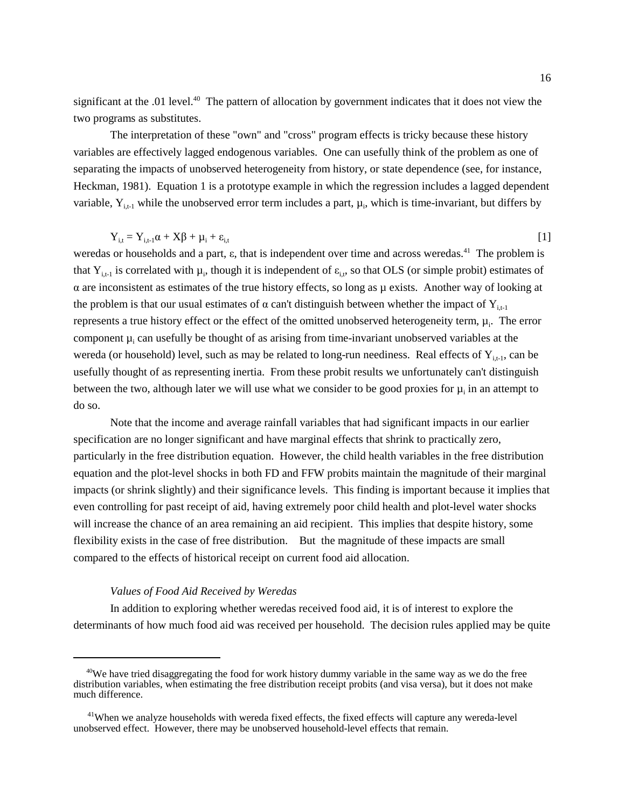significant at the .01 level.<sup>40</sup> The pattern of allocation by government indicates that it does not view the two programs as substitutes.

The interpretation of these "own" and "cross" program effects is tricky because these history variables are effectively lagged endogenous variables. One can usefully think of the problem as one of separating the impacts of unobserved heterogeneity from history, or state dependence (see, for instance, Heckman, 1981). Equation 1 is a prototype example in which the regression includes a lagged dependent variable,  $Y_{i,t-1}$  while the unobserved error term includes a part,  $\mu_i$ , which is time-invariant, but differs by

$$
Y_{i,t} = Y_{i,t-1}\alpha + X\beta + \mu_i + \varepsilon_{i,t}
$$

weredas or households and a part,  $\varepsilon$ , that is independent over time and across weredas.<sup>41</sup> The problem is that  $Y_{i,t-1}$  is correlated with  $\mu_i$ , though it is independent of  $\varepsilon_{i,t}$ , so that OLS (or simple probit) estimates of  $\alpha$  are inconsistent as estimates of the true history effects, so long as  $\mu$  exists. Another way of looking at the problem is that our usual estimates of  $\alpha$  can't distinguish between whether the impact of Y<sub>it-1</sub> represents a true history effect or the effect of the omitted unobserved heterogeneity term,  $\mu_i$ . The error component  $\mu_i$  can usefully be thought of as arising from time-invariant unobserved variables at the wereda (or household) level, such as may be related to long-run neediness. Real effects of  $Y_{i-1}$ , can be usefully thought of as representing inertia. From these probit results we unfortunately can't distinguish between the two, although later we will use what we consider to be good proxies for  $\mu_i$  in an attempt to do so.

Note that the income and average rainfall variables that had significant impacts in our earlier specification are no longer significant and have marginal effects that shrink to practically zero, particularly in the free distribution equation. However, the child health variables in the free distribution equation and the plot-level shocks in both FD and FFW probits maintain the magnitude of their marginal impacts (or shrink slightly) and their significance levels. This finding is important because it implies that even controlling for past receipt of aid, having extremely poor child health and plot-level water shocks will increase the chance of an area remaining an aid recipient. This implies that despite history, some flexibility exists in the case of free distribution. But the magnitude of these impacts are small compared to the effects of historical receipt on current food aid allocation.

# *Values of Food Aid Received by Weredas*

In addition to exploring whether weredas received food aid, it is of interest to explore the determinants of how much food aid was received per household. The decision rules applied may be quite

 $40$ We have tried disaggregating the food for work history dummy variable in the same way as we do the free distribution variables, when estimating the free distribution receipt probits (and visa versa), but it does not make much difference.

<sup>&</sup>lt;sup>41</sup>When we analyze households with wereda fixed effects, the fixed effects will capture any wereda-level unobserved effect. However, there may be unobserved household-level effects that remain.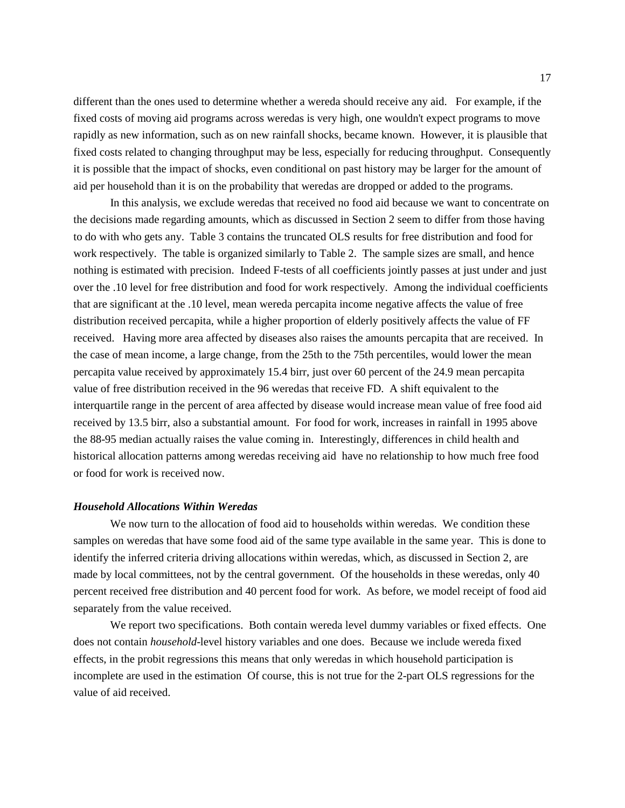different than the ones used to determine whether a wereda should receive any aid. For example, if the fixed costs of moving aid programs across weredas is very high, one wouldn't expect programs to move rapidly as new information, such as on new rainfall shocks, became known. However, it is plausible that fixed costs related to changing throughput may be less, especially for reducing throughput. Consequently it is possible that the impact of shocks, even conditional on past history may be larger for the amount of aid per household than it is on the probability that weredas are dropped or added to the programs.

In this analysis, we exclude weredas that received no food aid because we want to concentrate on the decisions made regarding amounts, which as discussed in Section 2 seem to differ from those having to do with who gets any. Table 3 contains the truncated OLS results for free distribution and food for work respectively. The table is organized similarly to Table 2. The sample sizes are small, and hence nothing is estimated with precision. Indeed F-tests of all coefficients jointly passes at just under and just over the .10 level for free distribution and food for work respectively. Among the individual coefficients that are significant at the .10 level, mean wereda percapita income negative affects the value of free distribution received percapita, while a higher proportion of elderly positively affects the value of FF received. Having more area affected by diseases also raises the amounts percapita that are received. In the case of mean income, a large change, from the 25th to the 75th percentiles, would lower the mean percapita value received by approximately 15.4 birr, just over 60 percent of the 24.9 mean percapita value of free distribution received in the 96 weredas that receive FD. A shift equivalent to the interquartile range in the percent of area affected by disease would increase mean value of free food aid received by 13.5 birr, also a substantial amount. For food for work, increases in rainfall in 1995 above the 88-95 median actually raises the value coming in. Interestingly, differences in child health and historical allocation patterns among weredas receiving aid have no relationship to how much free food or food for work is received now.

# *Household Allocations Within Weredas*

We now turn to the allocation of food aid to households within weredas. We condition these samples on weredas that have some food aid of the same type available in the same year. This is done to identify the inferred criteria driving allocations within weredas, which, as discussed in Section 2, are made by local committees, not by the central government. Of the households in these weredas, only 40 percent received free distribution and 40 percent food for work. As before, we model receipt of food aid separately from the value received.

We report two specifications. Both contain wereda level dummy variables or fixed effects. One does not contain *household*-level history variables and one does. Because we include wereda fixed effects, in the probit regressions this means that only weredas in which household participation is incomplete are used in the estimation Of course, this is not true for the 2-part OLS regressions for the value of aid received.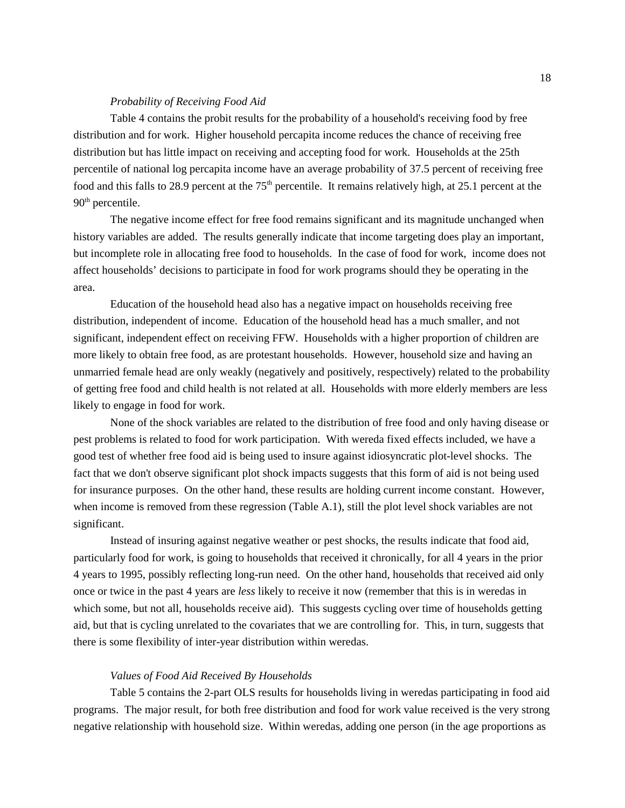# *Probability of Receiving Food Aid*

Table 4 contains the probit results for the probability of a household's receiving food by free distribution and for work. Higher household percapita income reduces the chance of receiving free distribution but has little impact on receiving and accepting food for work. Households at the 25th percentile of national log percapita income have an average probability of 37.5 percent of receiving free food and this falls to 28.9 percent at the  $75<sup>th</sup>$  percentile. It remains relatively high, at 25.1 percent at the 90<sup>th</sup> percentile.

The negative income effect for free food remains significant and its magnitude unchanged when history variables are added. The results generally indicate that income targeting does play an important, but incomplete role in allocating free food to households. In the case of food for work, income does not affect households' decisions to participate in food for work programs should they be operating in the area.

Education of the household head also has a negative impact on households receiving free distribution, independent of income. Education of the household head has a much smaller, and not significant, independent effect on receiving FFW. Households with a higher proportion of children are more likely to obtain free food, as are protestant households. However, household size and having an unmarried female head are only weakly (negatively and positively, respectively) related to the probability of getting free food and child health is not related at all. Households with more elderly members are less likely to engage in food for work.

None of the shock variables are related to the distribution of free food and only having disease or pest problems is related to food for work participation. With wereda fixed effects included, we have a good test of whether free food aid is being used to insure against idiosyncratic plot-level shocks. The fact that we don't observe significant plot shock impacts suggests that this form of aid is not being used for insurance purposes. On the other hand, these results are holding current income constant. However, when income is removed from these regression (Table A.1), still the plot level shock variables are not significant.

Instead of insuring against negative weather or pest shocks, the results indicate that food aid, particularly food for work, is going to households that received it chronically, for all 4 years in the prior 4 years to 1995, possibly reflecting long-run need. On the other hand, households that received aid only once or twice in the past 4 years are *less* likely to receive it now (remember that this is in weredas in which some, but not all, households receive aid). This suggests cycling over time of households getting aid, but that is cycling unrelated to the covariates that we are controlling for. This, in turn, suggests that there is some flexibility of inter-year distribution within weredas.

#### *Values of Food Aid Received By Households*

Table 5 contains the 2-part OLS results for households living in weredas participating in food aid programs. The major result, for both free distribution and food for work value received is the very strong negative relationship with household size. Within weredas, adding one person (in the age proportions as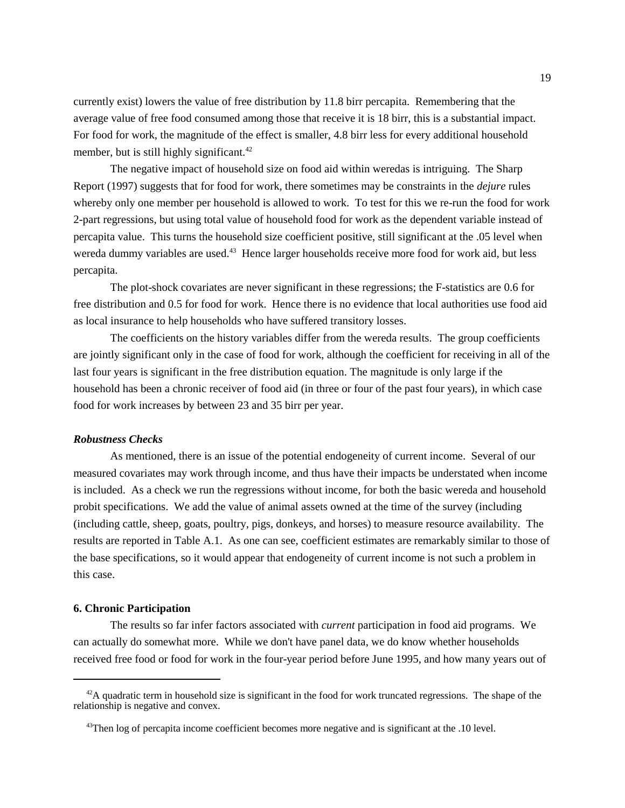currently exist) lowers the value of free distribution by 11.8 birr percapita. Remembering that the average value of free food consumed among those that receive it is 18 birr, this is a substantial impact. For food for work, the magnitude of the effect is smaller, 4.8 birr less for every additional household member, but is still highly significant.<sup>42</sup>

The negative impact of household size on food aid within weredas is intriguing. The Sharp Report (1997) suggests that for food for work, there sometimes may be constraints in the *dejure* rules whereby only one member per household is allowed to work. To test for this we re-run the food for work 2-part regressions, but using total value of household food for work as the dependent variable instead of percapita value. This turns the household size coefficient positive, still significant at the .05 level when wereda dummy variables are used.<sup>43</sup> Hence larger households receive more food for work aid, but less percapita.

The plot-shock covariates are never significant in these regressions; the F-statistics are 0.6 for free distribution and 0.5 for food for work. Hence there is no evidence that local authorities use food aid as local insurance to help households who have suffered transitory losses.

The coefficients on the history variables differ from the wereda results. The group coefficients are jointly significant only in the case of food for work, although the coefficient for receiving in all of the last four years is significant in the free distribution equation. The magnitude is only large if the household has been a chronic receiver of food aid (in three or four of the past four years), in which case food for work increases by between 23 and 35 birr per year.

#### *Robustness Checks*

As mentioned, there is an issue of the potential endogeneity of current income. Several of our measured covariates may work through income, and thus have their impacts be understated when income is included. As a check we run the regressions without income, for both the basic wereda and household probit specifications. We add the value of animal assets owned at the time of the survey (including (including cattle, sheep, goats, poultry, pigs, donkeys, and horses) to measure resource availability. The results are reported in Table A.1. As one can see, coefficient estimates are remarkably similar to those of the base specifications, so it would appear that endogeneity of current income is not such a problem in this case.

## **6. Chronic Participation**

The results so far infer factors associated with *current* participation in food aid programs. We can actually do somewhat more. While we don't have panel data, we do know whether households received free food or food for work in the four-year period before June 1995, and how many years out of

 $^{42}$ A quadratic term in household size is significant in the food for work truncated regressions. The shape of the relationship is negative and convex.

 <sup>43</sup>Then log of percapita income coefficient becomes more negative and is significant at the .10 level.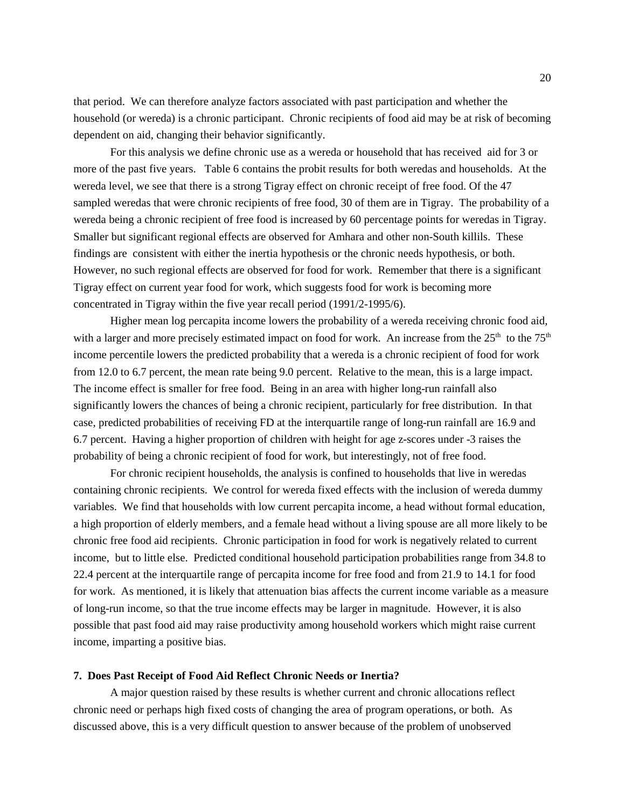that period. We can therefore analyze factors associated with past participation and whether the household (or wereda) is a chronic participant. Chronic recipients of food aid may be at risk of becoming dependent on aid, changing their behavior significantly.

For this analysis we define chronic use as a wereda or household that has received aid for 3 or more of the past five years. Table 6 contains the probit results for both weredas and households. At the wereda level, we see that there is a strong Tigray effect on chronic receipt of free food. Of the 47 sampled weredas that were chronic recipients of free food, 30 of them are in Tigray. The probability of a wereda being a chronic recipient of free food is increased by 60 percentage points for weredas in Tigray. Smaller but significant regional effects are observed for Amhara and other non-South killils. These findings are consistent with either the inertia hypothesis or the chronic needs hypothesis, or both. However, no such regional effects are observed for food for work. Remember that there is a significant Tigray effect on current year food for work, which suggests food for work is becoming more concentrated in Tigray within the five year recall period (1991/2-1995/6).

Higher mean log percapita income lowers the probability of a wereda receiving chronic food aid, with a larger and more precisely estimated impact on food for work. An increase from the  $25<sup>th</sup>$  to the  $75<sup>th</sup>$ income percentile lowers the predicted probability that a wereda is a chronic recipient of food for work from 12.0 to 6.7 percent, the mean rate being 9.0 percent. Relative to the mean, this is a large impact. The income effect is smaller for free food. Being in an area with higher long-run rainfall also significantly lowers the chances of being a chronic recipient, particularly for free distribution. In that case, predicted probabilities of receiving FD at the interquartile range of long-run rainfall are 16.9 and 6.7 percent. Having a higher proportion of children with height for age z-scores under -3 raises the probability of being a chronic recipient of food for work, but interestingly, not of free food.

For chronic recipient households, the analysis is confined to households that live in weredas containing chronic recipients. We control for wereda fixed effects with the inclusion of wereda dummy variables. We find that households with low current percapita income, a head without formal education, a high proportion of elderly members, and a female head without a living spouse are all more likely to be chronic free food aid recipients. Chronic participation in food for work is negatively related to current income, but to little else. Predicted conditional household participation probabilities range from 34.8 to 22.4 percent at the interquartile range of percapita income for free food and from 21.9 to 14.1 for food for work. As mentioned, it is likely that attenuation bias affects the current income variable as a measure of long-run income, so that the true income effects may be larger in magnitude. However, it is also possible that past food aid may raise productivity among household workers which might raise current income, imparting a positive bias.

#### **7. Does Past Receipt of Food Aid Reflect Chronic Needs or Inertia?**

A major question raised by these results is whether current and chronic allocations reflect chronic need or perhaps high fixed costs of changing the area of program operations, or both. As discussed above, this is a very difficult question to answer because of the problem of unobserved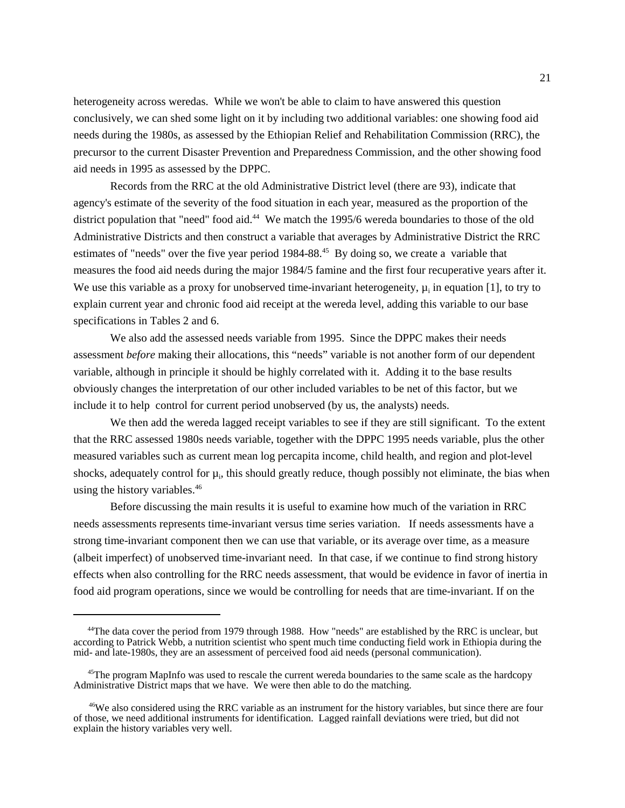heterogeneity across weredas. While we won't be able to claim to have answered this question conclusively, we can shed some light on it by including two additional variables: one showing food aid needs during the 1980s, as assessed by the Ethiopian Relief and Rehabilitation Commission (RRC), the precursor to the current Disaster Prevention and Preparedness Commission, and the other showing food aid needs in 1995 as assessed by the DPPC.

Records from the RRC at the old Administrative District level (there are 93), indicate that agency's estimate of the severity of the food situation in each year, measured as the proportion of the district population that "need" food aid.<sup>44</sup> We match the 1995/6 wereda boundaries to those of the old Administrative Districts and then construct a variable that averages by Administrative District the RRC estimates of "needs" over the five year period 1984-88.<sup>45</sup> By doing so, we create a variable that measures the food aid needs during the major 1984/5 famine and the first four recuperative years after it. We use this variable as a proxy for unobserved time-invariant heterogeneity,  $\mu_i$  in equation [1], to try to explain current year and chronic food aid receipt at the wereda level, adding this variable to our base specifications in Tables 2 and 6.

We also add the assessed needs variable from 1995. Since the DPPC makes their needs assessment *before* making their allocations, this "needs" variable is not another form of our dependent variable, although in principle it should be highly correlated with it. Adding it to the base results obviously changes the interpretation of our other included variables to be net of this factor, but we include it to help control for current period unobserved (by us, the analysts) needs.

We then add the wereda lagged receipt variables to see if they are still significant. To the extent that the RRC assessed 1980s needs variable, together with the DPPC 1995 needs variable, plus the other measured variables such as current mean log percapita income, child health, and region and plot-level shocks, adequately control for  $\mu_i$ , this should greatly reduce, though possibly not eliminate, the bias when using the history variables.<sup>46</sup>

Before discussing the main results it is useful to examine how much of the variation in RRC needs assessments represents time-invariant versus time series variation. If needs assessments have a strong time-invariant component then we can use that variable, or its average over time, as a measure (albeit imperfect) of unobserved time-invariant need. In that case, if we continue to find strong history effects when also controlling for the RRC needs assessment, that would be evidence in favor of inertia in food aid program operations, since we would be controlling for needs that are time-invariant. If on the

<sup>&</sup>lt;sup>44</sup>The data cover the period from 1979 through 1988. How "needs" are established by the RRC is unclear, but according to Patrick Webb, a nutrition scientist who spent much time conducting field work in Ethiopia during the mid- and late-1980s, they are an assessment of perceived food aid needs (personal communication).

<sup>&</sup>lt;sup>45</sup>The program MapInfo was used to rescale the current wereda boundaries to the same scale as the hardcopy Administrative District maps that we have. We were then able to do the matching.

<sup>&</sup>lt;sup>46</sup>We also considered using the RRC variable as an instrument for the history variables, but since there are four of those, we need additional instruments for identification. Lagged rainfall deviations were tried, but did not explain the history variables very well.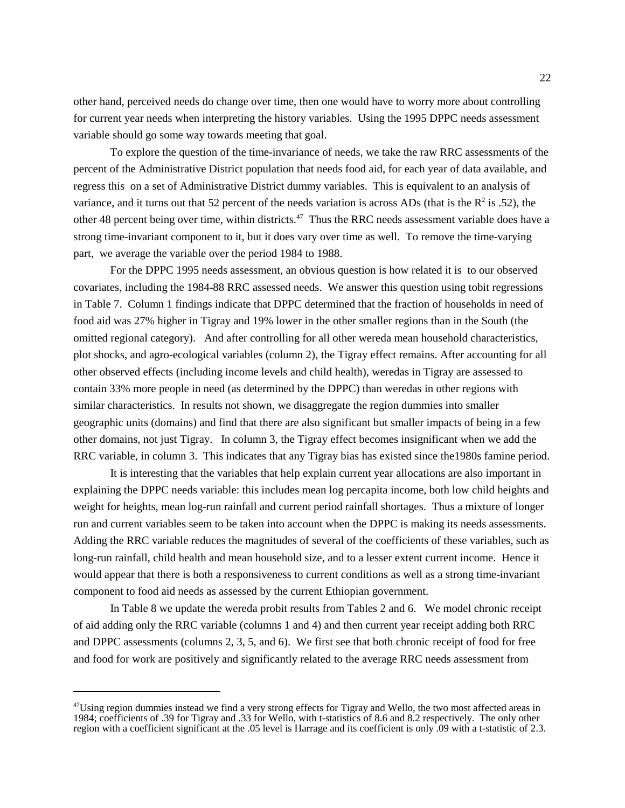other hand, perceived needs do change over time, then one would have to worry more about controlling for current year needs when interpreting the history variables. Using the 1995 DPPC needs assessment variable should go some way towards meeting that goal.

To explore the question of the time-invariance of needs, we take the raw RRC assessments of the percent of the Administrative District population that needs food aid, for each year of data available, and regress this on a set of Administrative District dummy variables. This is equivalent to an analysis of variance, and it turns out that 52 percent of the needs variation is across ADs (that is the  $R^2$  is .52), the other 48 percent being over time, within districts.<sup>47</sup> Thus the RRC needs assessment variable does have a strong time-invariant component to it, but it does vary over time as well. To remove the time-varying part, we average the variable over the period 1984 to 1988.

For the DPPC 1995 needs assessment, an obvious question is how related it is to our observed covariates, including the 1984-88 RRC assessed needs. We answer this question using tobit regressions in Table 7. Column 1 findings indicate that DPPC determined that the fraction of households in need of food aid was 27% higher in Tigray and 19% lower in the other smaller regions than in the South (the omitted regional category). And after controlling for all other wereda mean household characteristics, plot shocks, and agro-ecological variables (column 2), the Tigray effect remains. After accounting for all other observed effects (including income levels and child health), weredas in Tigray are assessed to contain 33% more people in need (as determined by the DPPC) than weredas in other regions with similar characteristics. In results not shown, we disaggregate the region dummies into smaller geographic units (domains) and find that there are also significant but smaller impacts of being in a few other domains, not just Tigray. In column 3, the Tigray effect becomes insignificant when we add the RRC variable, in column 3. This indicates that any Tigray bias has existed since the1980s famine period.

It is interesting that the variables that help explain current year allocations are also important in explaining the DPPC needs variable: this includes mean log percapita income, both low child heights and weight for heights, mean log-run rainfall and current period rainfall shortages. Thus a mixture of longer run and current variables seem to be taken into account when the DPPC is making its needs assessments. Adding the RRC variable reduces the magnitudes of several of the coefficients of these variables, such as long-run rainfall, child health and mean household size, and to a lesser extent current income. Hence it would appear that there is both a responsiveness to current conditions as well as a strong time-invariant component to food aid needs as assessed by the current Ethiopian government.

In Table 8 we update the wereda probit results from Tables 2 and 6. We model chronic receipt of aid adding only the RRC variable (columns 1 and 4) and then current year receipt adding both RRC and DPPC assessments (columns 2, 3, 5, and 6). We first see that both chronic receipt of food for free and food for work are positively and significantly related to the average RRC needs assessment from

 $47$ Using region dummies instead we find a very strong effects for Tigray and Wello, the two most affected areas in 1984; coefficients of .39 for Tigray and .33 for Wello, with t-statistics of 8.6 and 8.2 respectively. The only other region with a coefficient significant at the .05 level is Harrage and its coefficient is only .09 with a t-statistic of 2.3.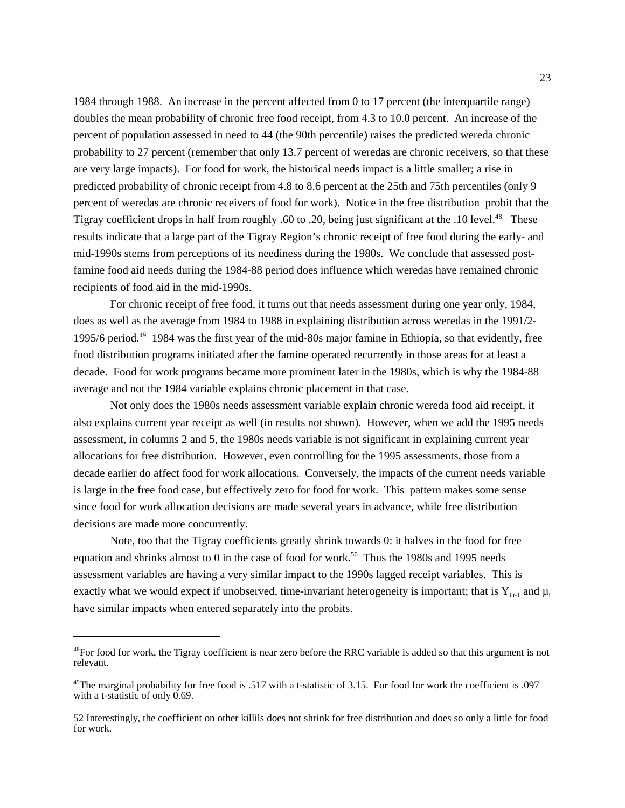1984 through 1988. An increase in the percent affected from 0 to 17 percent (the interquartile range) doubles the mean probability of chronic free food receipt, from 4.3 to 10.0 percent. An increase of the percent of population assessed in need to 44 (the 90th percentile) raises the predicted wereda chronic probability to 27 percent (remember that only 13.7 percent of weredas are chronic receivers, so that these are very large impacts). For food for work, the historical needs impact is a little smaller; a rise in predicted probability of chronic receipt from 4.8 to 8.6 percent at the 25th and 75th percentiles (only 9 percent of weredas are chronic receivers of food for work). Notice in the free distribution probit that the Tigray coefficient drops in half from roughly .60 to .20, being just significant at the .10 level.<sup>48</sup> These results indicate that a large part of the Tigray Region's chronic receipt of free food during the early- and mid-1990s stems from perceptions of its neediness during the 1980s. We conclude that assessed postfamine food aid needs during the 1984-88 period does influence which weredas have remained chronic recipients of food aid in the mid-1990s.

For chronic receipt of free food, it turns out that needs assessment during one year only, 1984, does as well as the average from 1984 to 1988 in explaining distribution across weredas in the 1991/2- 1995/6 period.49 1984 was the first year of the mid-80s major famine in Ethiopia, so that evidently, free food distribution programs initiated after the famine operated recurrently in those areas for at least a decade. Food for work programs became more prominent later in the 1980s, which is why the 1984-88 average and not the 1984 variable explains chronic placement in that case.

Not only does the 1980s needs assessment variable explain chronic wereda food aid receipt, it also explains current year receipt as well (in results not shown). However, when we add the 1995 needs assessment, in columns 2 and 5, the 1980s needs variable is not significant in explaining current year allocations for free distribution. However, even controlling for the 1995 assessments, those from a decade earlier do affect food for work allocations. Conversely, the impacts of the current needs variable is large in the free food case, but effectively zero for food for work. This pattern makes some sense since food for work allocation decisions are made several years in advance, while free distribution decisions are made more concurrently.

Note, too that the Tigray coefficients greatly shrink towards 0: it halves in the food for free equation and shrinks almost to 0 in the case of food for work.<sup>50</sup> Thus the 1980s and 1995 needs assessment variables are having a very similar impact to the 1990s lagged receipt variables. This is exactly what we would expect if unobserved, time-invariant heterogeneity is important; that is  $Y_{i,j}$  and  $\mu_i$ have similar impacts when entered separately into the probits.

 $48$ For food for work, the Tigray coefficient is near zero before the RRC variable is added so that this argument is not relevant.

 $49$ The marginal probability for free food is .517 with a t-statistic of 3.15. For food for work the coefficient is .097 with a t-statistic of only 0.69.

<sup>52</sup> Interestingly, the coefficient on other killils does not shrink for free distribution and does so only a little for food for work.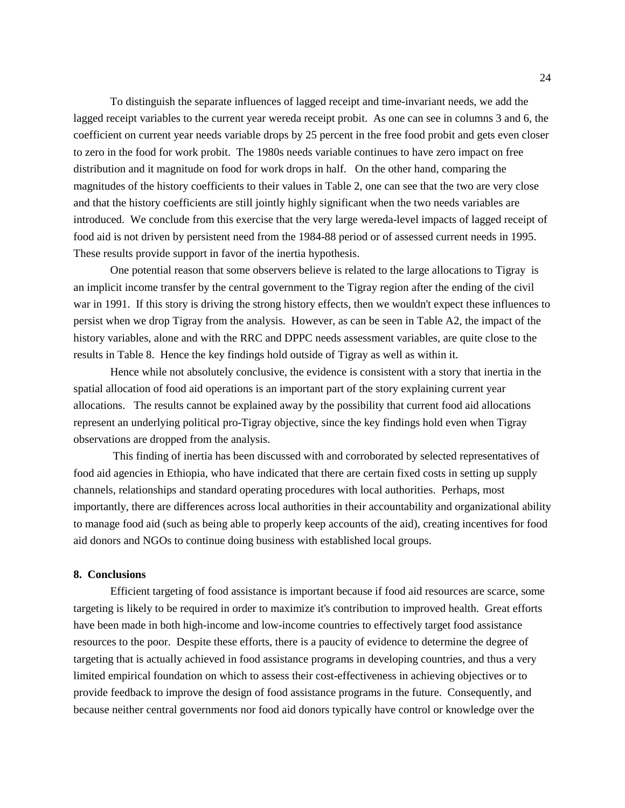To distinguish the separate influences of lagged receipt and time-invariant needs, we add the lagged receipt variables to the current year wereda receipt probit. As one can see in columns 3 and 6, the coefficient on current year needs variable drops by 25 percent in the free food probit and gets even closer to zero in the food for work probit. The 1980s needs variable continues to have zero impact on free distribution and it magnitude on food for work drops in half. On the other hand, comparing the magnitudes of the history coefficients to their values in Table 2, one can see that the two are very close and that the history coefficients are still jointly highly significant when the two needs variables are introduced. We conclude from this exercise that the very large wereda-level impacts of lagged receipt of food aid is not driven by persistent need from the 1984-88 period or of assessed current needs in 1995. These results provide support in favor of the inertia hypothesis.

One potential reason that some observers believe is related to the large allocations to Tigray is an implicit income transfer by the central government to the Tigray region after the ending of the civil war in 1991. If this story is driving the strong history effects, then we wouldn't expect these influences to persist when we drop Tigray from the analysis. However, as can be seen in Table A2, the impact of the history variables, alone and with the RRC and DPPC needs assessment variables, are quite close to the results in Table 8. Hence the key findings hold outside of Tigray as well as within it.

Hence while not absolutely conclusive, the evidence is consistent with a story that inertia in the spatial allocation of food aid operations is an important part of the story explaining current year allocations. The results cannot be explained away by the possibility that current food aid allocations represent an underlying political pro-Tigray objective, since the key findings hold even when Tigray observations are dropped from the analysis.

 This finding of inertia has been discussed with and corroborated by selected representatives of food aid agencies in Ethiopia, who have indicated that there are certain fixed costs in setting up supply channels, relationships and standard operating procedures with local authorities. Perhaps, most importantly, there are differences across local authorities in their accountability and organizational ability to manage food aid (such as being able to properly keep accounts of the aid), creating incentives for food aid donors and NGOs to continue doing business with established local groups.

#### **8. Conclusions**

Efficient targeting of food assistance is important because if food aid resources are scarce, some targeting is likely to be required in order to maximize it's contribution to improved health. Great efforts have been made in both high-income and low-income countries to effectively target food assistance resources to the poor. Despite these efforts, there is a paucity of evidence to determine the degree of targeting that is actually achieved in food assistance programs in developing countries, and thus a very limited empirical foundation on which to assess their cost-effectiveness in achieving objectives or to provide feedback to improve the design of food assistance programs in the future. Consequently, and because neither central governments nor food aid donors typically have control or knowledge over the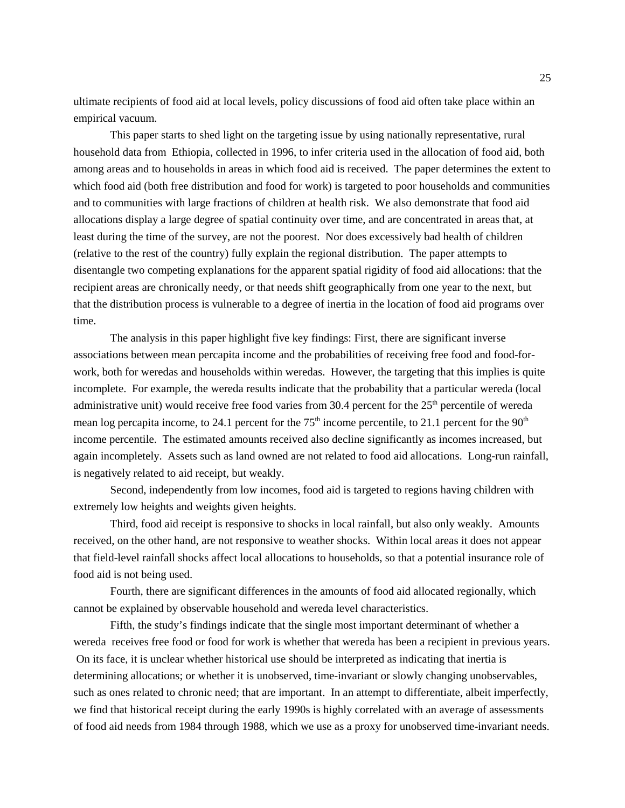ultimate recipients of food aid at local levels, policy discussions of food aid often take place within an empirical vacuum.

This paper starts to shed light on the targeting issue by using nationally representative, rural household data from Ethiopia, collected in 1996, to infer criteria used in the allocation of food aid, both among areas and to households in areas in which food aid is received. The paper determines the extent to which food aid (both free distribution and food for work) is targeted to poor households and communities and to communities with large fractions of children at health risk. We also demonstrate that food aid allocations display a large degree of spatial continuity over time, and are concentrated in areas that, at least during the time of the survey, are not the poorest. Nor does excessively bad health of children (relative to the rest of the country) fully explain the regional distribution. The paper attempts to disentangle two competing explanations for the apparent spatial rigidity of food aid allocations: that the recipient areas are chronically needy, or that needs shift geographically from one year to the next, but that the distribution process is vulnerable to a degree of inertia in the location of food aid programs over time.

The analysis in this paper highlight five key findings: First, there are significant inverse associations between mean percapita income and the probabilities of receiving free food and food-forwork, both for weredas and households within weredas. However, the targeting that this implies is quite incomplete. For example, the wereda results indicate that the probability that a particular wereda (local administrative unit) would receive free food varies from 30.4 percent for the  $25<sup>th</sup>$  percentile of wereda mean log percapita income, to 24.1 percent for the  $75<sup>th</sup>$  income percentile, to 21.1 percent for the  $90<sup>th</sup>$ income percentile. The estimated amounts received also decline significantly as incomes increased, but again incompletely. Assets such as land owned are not related to food aid allocations. Long-run rainfall, is negatively related to aid receipt, but weakly.

Second, independently from low incomes, food aid is targeted to regions having children with extremely low heights and weights given heights.

Third, food aid receipt is responsive to shocks in local rainfall, but also only weakly. Amounts received, on the other hand, are not responsive to weather shocks. Within local areas it does not appear that field-level rainfall shocks affect local allocations to households, so that a potential insurance role of food aid is not being used.

Fourth, there are significant differences in the amounts of food aid allocated regionally, which cannot be explained by observable household and wereda level characteristics.

Fifth, the study's findings indicate that the single most important determinant of whether a wereda receives free food or food for work is whether that wereda has been a recipient in previous years. On its face, it is unclear whether historical use should be interpreted as indicating that inertia is determining allocations; or whether it is unobserved, time-invariant or slowly changing unobservables, such as ones related to chronic need; that are important. In an attempt to differentiate, albeit imperfectly, we find that historical receipt during the early 1990s is highly correlated with an average of assessments of food aid needs from 1984 through 1988, which we use as a proxy for unobserved time-invariant needs.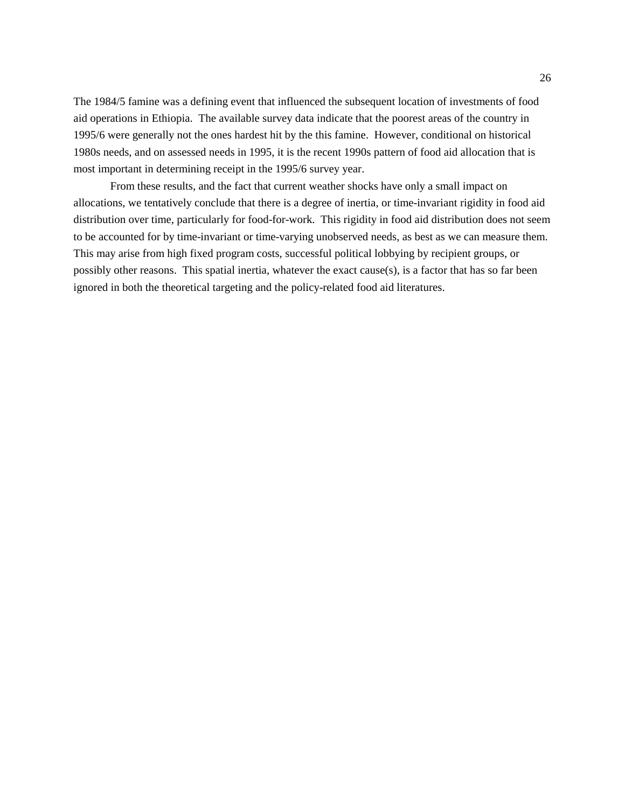The 1984/5 famine was a defining event that influenced the subsequent location of investments of food aid operations in Ethiopia. The available survey data indicate that the poorest areas of the country in 1995/6 were generally not the ones hardest hit by the this famine. However, conditional on historical 1980s needs, and on assessed needs in 1995, it is the recent 1990s pattern of food aid allocation that is most important in determining receipt in the 1995/6 survey year.

From these results, and the fact that current weather shocks have only a small impact on allocations, we tentatively conclude that there is a degree of inertia, or time-invariant rigidity in food aid distribution over time, particularly for food-for-work. This rigidity in food aid distribution does not seem to be accounted for by time-invariant or time-varying unobserved needs, as best as we can measure them. This may arise from high fixed program costs, successful political lobbying by recipient groups, or possibly other reasons. This spatial inertia, whatever the exact cause(s), is a factor that has so far been ignored in both the theoretical targeting and the policy-related food aid literatures.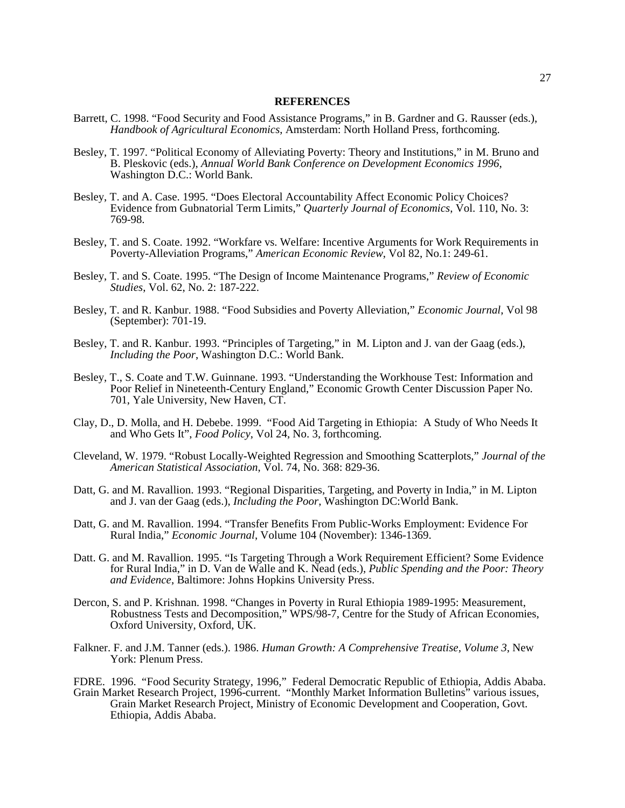#### **REFERENCES**

- Barrett, C. 1998. "Food Security and Food Assistance Programs," in B. Gardner and G. Rausser (eds.), *Handbook of Agricultural Economics*, Amsterdam: North Holland Press, forthcoming.
- Besley, T. 1997. "Political Economy of Alleviating Poverty: Theory and Institutions," in M. Bruno and B. Pleskovic (eds.), *Annual World Bank Conference on Development Economics 1996*, Washington D.C.: World Bank.
- Besley, T. and A. Case. 1995. "Does Electoral Accountability Affect Economic Policy Choices? Evidence from Gubnatorial Term Limits," *Quarterly Journal of Economics*, Vol. 110, No. 3: 769-98.
- Besley, T. and S. Coate. 1992. "Workfare vs. Welfare: Incentive Arguments for Work Requirements in Poverty-Alleviation Programs," *American Economic Review*, Vol 82, No.1: 249-61.
- Besley, T. and S. Coate. 1995. "The Design of Income Maintenance Programs," *Review of Economic Studies*, Vol. 62, No. 2: 187-222.
- Besley, T. and R. Kanbur. 1988. "Food Subsidies and Poverty Alleviation," *Economic Journal*, Vol 98 (September): 701-19.
- Besley, T. and R. Kanbur. 1993. "Principles of Targeting," in M. Lipton and J. van der Gaag (eds.), *Including the Poor*, Washington D.C.: World Bank.
- Besley, T., S. Coate and T.W. Guinnane. 1993. "Understanding the Workhouse Test: Information and Poor Relief in Nineteenth-Century England," Economic Growth Center Discussion Paper No. 701, Yale University, New Haven, CT.
- Clay, D., D. Molla, and H. Debebe. 1999. "Food Aid Targeting in Ethiopia: A Study of Who Needs It and Who Gets It", *Food Policy*, Vol 24, No. 3, forthcoming.
- Cleveland, W. 1979. "Robust Locally-Weighted Regression and Smoothing Scatterplots," *Journal of the American Statistical Association*, Vol. 74, No. 368: 829-36.
- Datt, G. and M. Ravallion. 1993. "Regional Disparities, Targeting, and Poverty in India," in M. Lipton and J. van der Gaag (eds.), *Including the Poor*, Washington DC:World Bank.
- Datt, G. and M. Ravallion. 1994. "Transfer Benefits From Public-Works Employment: Evidence For Rural India," *Economic Journal*, Volume 104 (November): 1346-1369.
- Datt. G. and M. Ravallion. 1995. "Is Targeting Through a Work Requirement Efficient? Some Evidence for Rural India," in D. Van de Walle and K. Nead (eds.), *Public Spending and the Poor: Theory and Evidence*, Baltimore: Johns Hopkins University Press.
- Dercon, S. and P. Krishnan. 1998. "Changes in Poverty in Rural Ethiopia 1989-1995: Measurement, Robustness Tests and Decomposition," WPS/98-7, Centre for the Study of African Economies, Oxford University, Oxford, UK.
- Falkner. F. and J.M. Tanner (eds.). 1986. *Human Growth: A Comprehensive Treatise, Volume 3*, New York: Plenum Press.
- FDRE. 1996. "Food Security Strategy, 1996," Federal Democratic Republic of Ethiopia, Addis Ababa. Grain Market Research Project, 1996-current. "Monthly Market Information Bulletins" various issues, Grain Market Research Project, Ministry of Economic Development and Cooperation, Govt. Ethiopia, Addis Ababa.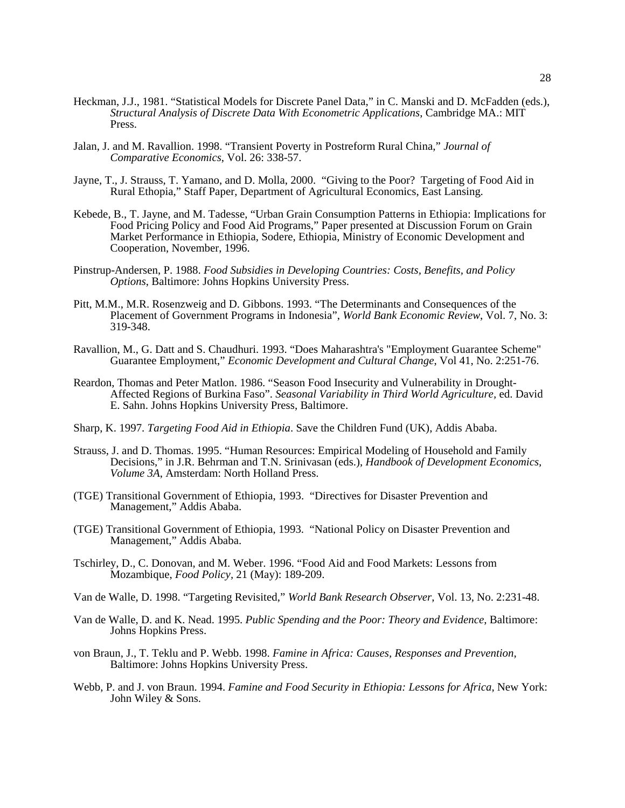- Heckman, J.J., 1981. "Statistical Models for Discrete Panel Data," in C. Manski and D. McFadden (eds.), *Structural Analysis of Discrete Data With Econometric Applications*, Cambridge MA.: MIT Press.
- Jalan, J. and M. Ravallion. 1998. "Transient Poverty in Postreform Rural China," *Journal of Comparative Economics*, Vol. 26: 338-57.
- Jayne, T., J. Strauss, T. Yamano, and D. Molla, 2000. "Giving to the Poor? Targeting of Food Aid in Rural Ethopia," Staff Paper, Department of Agricultural Economics, East Lansing.
- Kebede, B., T. Jayne, and M. Tadesse, "Urban Grain Consumption Patterns in Ethiopia: Implications for Food Pricing Policy and Food Aid Programs," Paper presented at Discussion Forum on Grain Market Performance in Ethiopia, Sodere, Ethiopia, Ministry of Economic Development and Cooperation, November, 1996.
- Pinstrup-Andersen, P. 1988. *Food Subsidies in Developing Countries: Costs, Benefits, and Policy Options*, Baltimore: Johns Hopkins University Press.
- Pitt, M.M., M.R. Rosenzweig and D. Gibbons. 1993. "The Determinants and Consequences of the Placement of Government Programs in Indonesia", *World Bank Economic Review*, Vol. 7, No. 3: 319-348.
- Ravallion, M., G. Datt and S. Chaudhuri. 1993. "Does Maharashtra's "Employment Guarantee Scheme" Guarantee Employment," *Economic Development and Cultural Change*, Vol 41, No. 2:251-76.
- Reardon, Thomas and Peter Matlon. 1986. "Season Food Insecurity and Vulnerability in Drought-Affected Regions of Burkina Faso". *Seasonal Variability in Third World Agriculture,* ed. David E. Sahn. Johns Hopkins University Press, Baltimore.
- Sharp, K. 1997. *Targeting Food Aid in Ethiopia*. Save the Children Fund (UK), Addis Ababa.
- Strauss, J. and D. Thomas. 1995. "Human Resources: Empirical Modeling of Household and Family Decisions," in J.R. Behrman and T.N. Srinivasan (eds.), *Handbook of Development Economics, Volume 3A*, Amsterdam: North Holland Press.
- (TGE) Transitional Government of Ethiopia, 1993. "Directives for Disaster Prevention and Management," Addis Ababa.
- (TGE) Transitional Government of Ethiopia, 1993. "National Policy on Disaster Prevention and Management," Addis Ababa.
- Tschirley, D., C. Donovan, and M. Weber. 1996. "Food Aid and Food Markets: Lessons from Mozambique, *Food Policy,* 21 (May): 189-209.
- Van de Walle, D. 1998. "Targeting Revisited," *World Bank Research Observer*, Vol. 13, No. 2:231-48.
- Van de Walle, D. and K. Nead. 1995. *Public Spending and the Poor: Theory and Evidence*, Baltimore: Johns Hopkins Press.
- von Braun, J., T. Teklu and P. Webb. 1998. *Famine in Africa: Causes, Responses and Prevention*, Baltimore: Johns Hopkins University Press.
- Webb, P. and J. von Braun. 1994. *Famine and Food Security in Ethiopia: Lessons for Africa*, New York: John Wiley & Sons.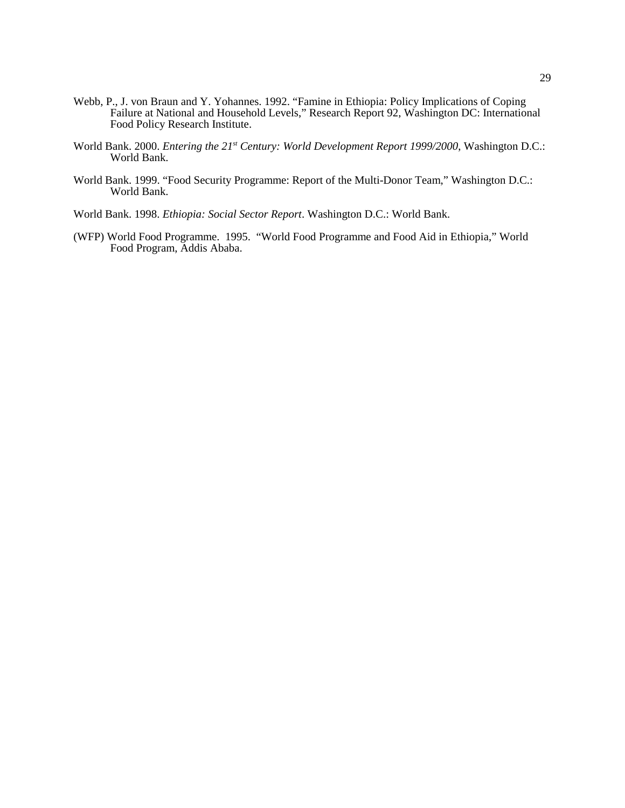- Webb, P., J. von Braun and Y. Yohannes. 1992. "Famine in Ethiopia: Policy Implications of Coping Failure at National and Household Levels," Research Report 92, Washington DC: International Food Policy Research Institute.
- World Bank. 2000. *Entering the 21<sup>st</sup> Century: World Development Report 1999/2000*, Washington D.C.: World Bank.
- World Bank. 1999. "Food Security Programme: Report of the Multi-Donor Team," Washington D.C.: World Bank.
- World Bank. 1998. *Ethiopia: Social Sector Report*. Washington D.C.: World Bank.
- (WFP) World Food Programme. 1995. "World Food Programme and Food Aid in Ethiopia," World Food Program, Addis Ababa.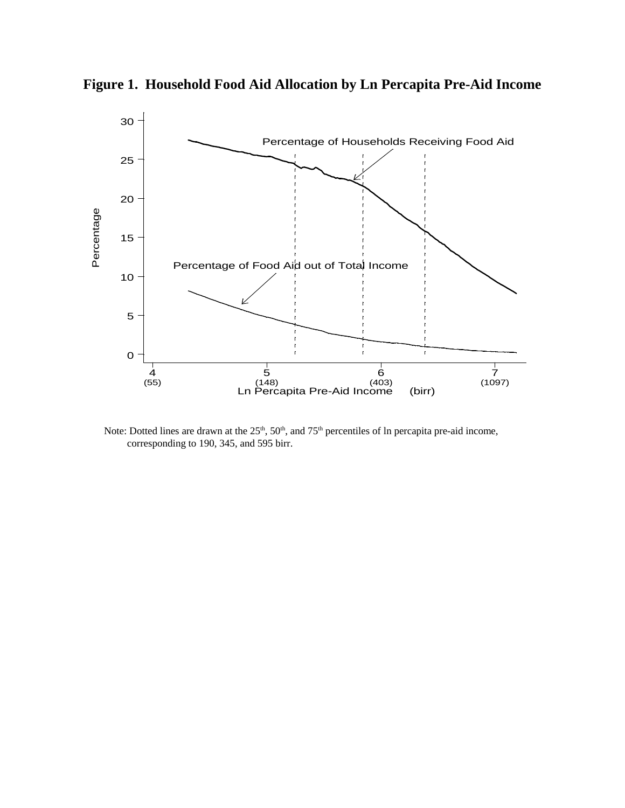

**Figure 1. Household Food Aid Allocation by Ln Percapita Pre-Aid Income**

Note: Dotted lines are drawn at the 25<sup>th</sup>, 50<sup>th</sup>, and 75<sup>th</sup> percentiles of ln percapita pre-aid income, corresponding to 190, 345, and 595 birr.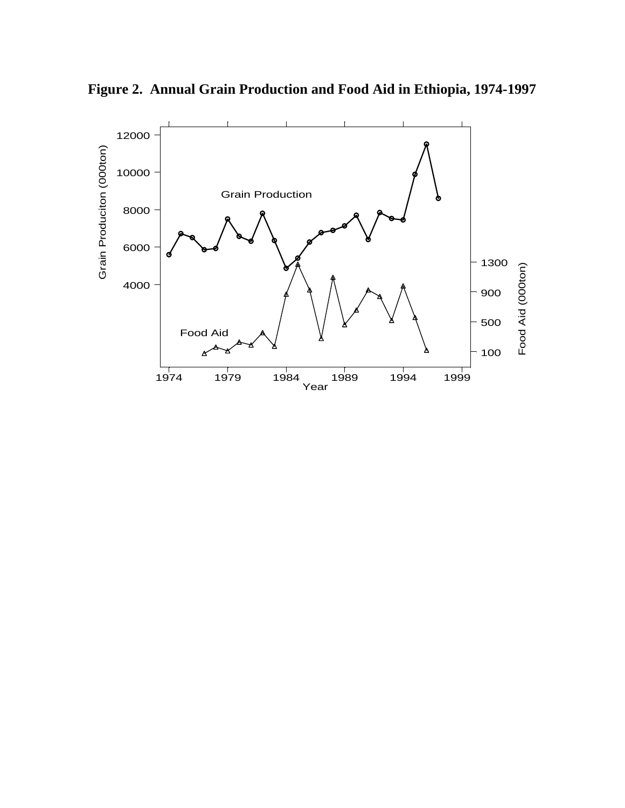